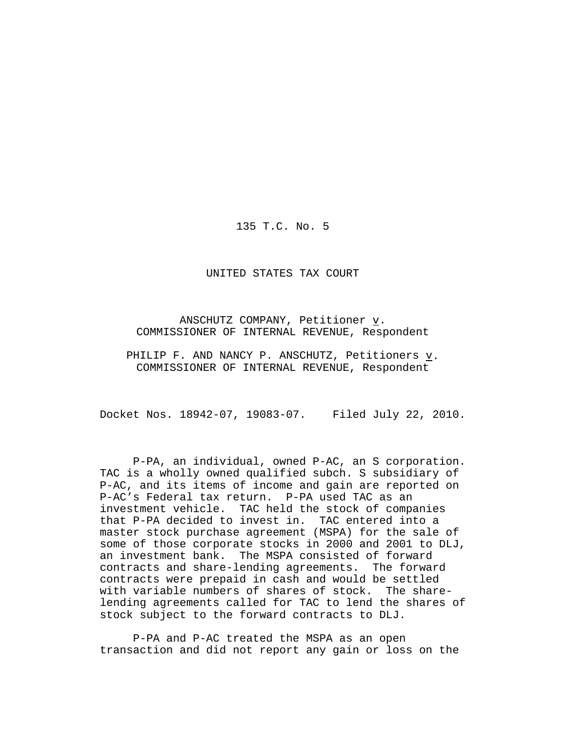135 T.C. No. 5

UNITED STATES TAX COURT

ANSCHUTZ COMPANY, Petitioner  $\underline{v}$ . COMMISSIONER OF INTERNAL REVENUE, Respondent

PHILIP F. AND NANCY P. ANSCHUTZ, Petitioners v. COMMISSIONER OF INTERNAL REVENUE, Respondent

Docket Nos. 18942-07, 19083-07. Filed July 22, 2010.

P-PA, an individual, owned P-AC, an S corporation. TAC is a wholly owned qualified subch. S subsidiary of P-AC, and its items of income and gain are reported on P-AC's Federal tax return. P-PA used TAC as an investment vehicle. TAC held the stock of companies that P-PA decided to invest in. TAC entered into a master stock purchase agreement (MSPA) for the sale of some of those corporate stocks in 2000 and 2001 to DLJ, an investment bank. The MSPA consisted of forward contracts and share-lending agreements. The forward contracts were prepaid in cash and would be settled with variable numbers of shares of stock. The sharelending agreements called for TAC to lend the shares of stock subject to the forward contracts to DLJ.

P-PA and P-AC treated the MSPA as an open transaction and did not report any gain or loss on the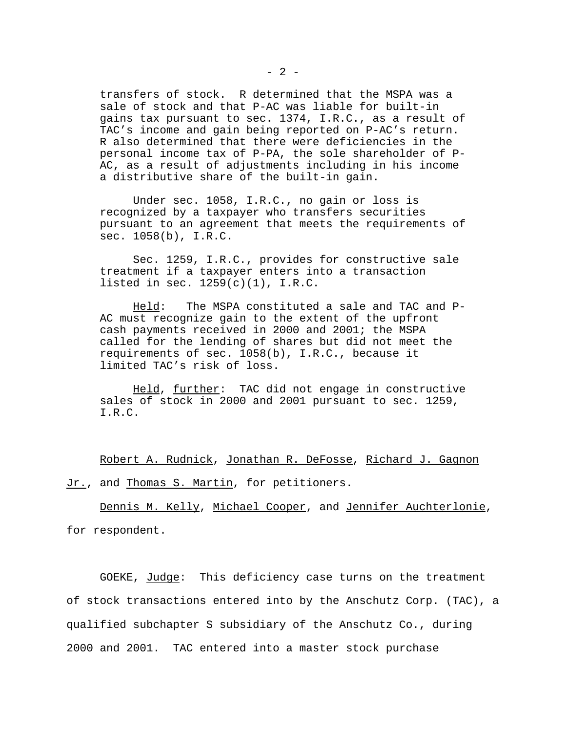transfers of stock. R determined that the MSPA was a sale of stock and that P-AC was liable for built-in gains tax pursuant to sec. 1374, I.R.C., as a result of TAC's income and gain being reported on P-AC's return. R also determined that there were deficiencies in the personal income tax of P-PA, the sole shareholder of P-AC, as a result of adjustments including in his income a distributive share of the built-in gain.

Under sec. 1058, I.R.C., no gain or loss is recognized by a taxpayer who transfers securities pursuant to an agreement that meets the requirements of sec. 1058(b), I.R.C.

Sec. 1259, I.R.C., provides for constructive sale treatment if a taxpayer enters into a transaction listed in sec. 1259(c)(1), I.R.C.

Held: The MSPA constituted a sale and TAC and P-AC must recognize gain to the extent of the upfront cash payments received in 2000 and 2001; the MSPA called for the lending of shares but did not meet the requirements of sec. 1058(b), I.R.C., because it limited TAC's risk of loss.

Held, further: TAC did not engage in constructive sales of stock in 2000 and 2001 pursuant to sec. 1259, I.R.C.

Robert A. Rudnick, Jonathan R. DeFosse, Richard J. Gagnon Jr., and Thomas S. Martin, for petitioners.

Dennis M. Kelly, Michael Cooper, and Jennifer Auchterlonie, for respondent.

GOEKE, Judge: This deficiency case turns on the treatment of stock transactions entered into by the Anschutz Corp. (TAC), a qualified subchapter S subsidiary of the Anschutz Co., during 2000 and 2001. TAC entered into a master stock purchase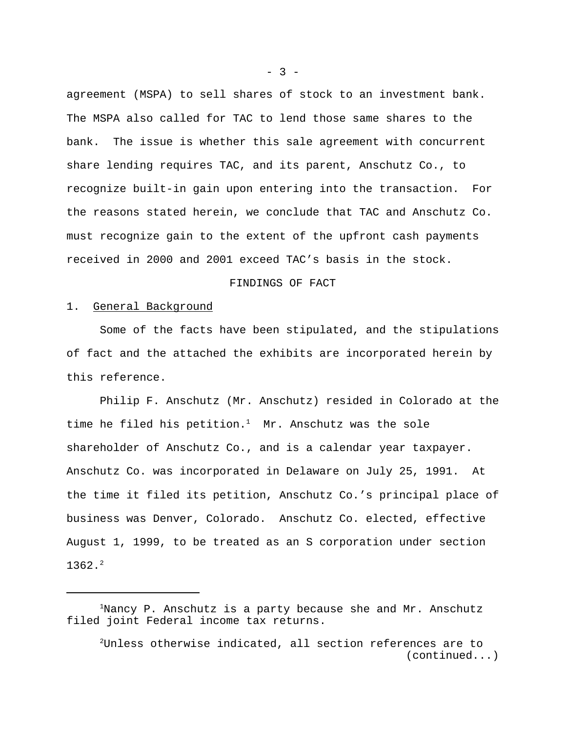agreement (MSPA) to sell shares of stock to an investment bank. The MSPA also called for TAC to lend those same shares to the bank. The issue is whether this sale agreement with concurrent share lending requires TAC, and its parent, Anschutz Co., to recognize built-in gain upon entering into the transaction. For the reasons stated herein, we conclude that TAC and Anschutz Co. must recognize gain to the extent of the upfront cash payments received in 2000 and 2001 exceed TAC's basis in the stock.

### FINDINGS OF FACT

## 1. General Background

Some of the facts have been stipulated, and the stipulations of fact and the attached the exhibits are incorporated herein by this reference.

Philip F. Anschutz (Mr. Anschutz) resided in Colorado at the time he filed his petition.<sup>1</sup> Mr. Anschutz was the sole shareholder of Anschutz Co., and is a calendar year taxpayer. Anschutz Co. was incorporated in Delaware on July 25, 1991. At the time it filed its petition, Anschutz Co.'s principal place of business was Denver, Colorado. Anschutz Co. elected, effective August 1, 1999, to be treated as an S corporation under section  $1362.2$ 

 $-3 -$ 

 $1$ Nancy P. Anschutz is a party because she and Mr. Anschutz filed joint Federal income tax returns.

<sup>2</sup>Unless otherwise indicated, all section references are to (continued...)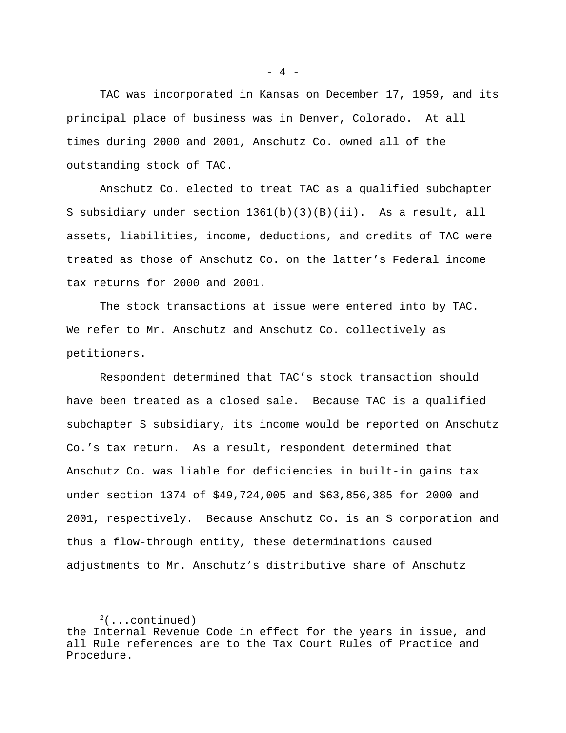TAC was incorporated in Kansas on December 17, 1959, and its principal place of business was in Denver, Colorado. At all times during 2000 and 2001, Anschutz Co. owned all of the outstanding stock of TAC.

Anschutz Co. elected to treat TAC as a qualified subchapter S subsidiary under section 1361(b)(3)(B)(ii). As a result, all assets, liabilities, income, deductions, and credits of TAC were treated as those of Anschutz Co. on the latter's Federal income tax returns for 2000 and 2001.

The stock transactions at issue were entered into by TAC. We refer to Mr. Anschutz and Anschutz Co. collectively as petitioners.

Respondent determined that TAC's stock transaction should have been treated as a closed sale. Because TAC is a qualified subchapter S subsidiary, its income would be reported on Anschutz Co.'s tax return. As a result, respondent determined that Anschutz Co. was liable for deficiencies in built-in gains tax under section 1374 of \$49,724,005 and \$63,856,385 for 2000 and 2001, respectively. Because Anschutz Co. is an S corporation and thus a flow-through entity, these determinations caused adjustments to Mr. Anschutz's distributive share of Anschutz

 $- 4 -$ 

 $2($ ...continued) the Internal Revenue Code in effect for the years in issue, and all Rule references are to the Tax Court Rules of Practice and Procedure.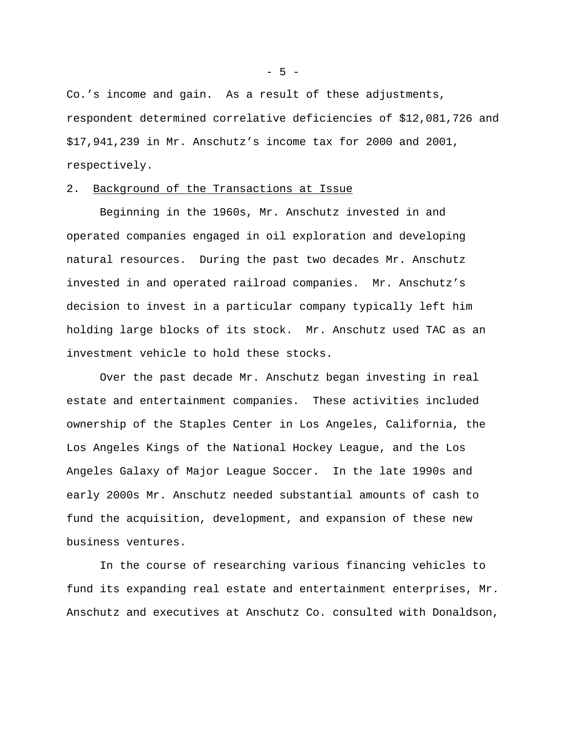Co.'s income and gain. As a result of these adjustments, respondent determined correlative deficiencies of \$12,081,726 and \$17,941,239 in Mr. Anschutz's income tax for 2000 and 2001, respectively.

# 2. Background of the Transactions at Issue

Beginning in the 1960s, Mr. Anschutz invested in and operated companies engaged in oil exploration and developing natural resources. During the past two decades Mr. Anschutz invested in and operated railroad companies. Mr. Anschutz's decision to invest in a particular company typically left him holding large blocks of its stock. Mr. Anschutz used TAC as an investment vehicle to hold these stocks.

Over the past decade Mr. Anschutz began investing in real estate and entertainment companies. These activities included ownership of the Staples Center in Los Angeles, California, the Los Angeles Kings of the National Hockey League, and the Los Angeles Galaxy of Major League Soccer. In the late 1990s and early 2000s Mr. Anschutz needed substantial amounts of cash to fund the acquisition, development, and expansion of these new business ventures.

In the course of researching various financing vehicles to fund its expanding real estate and entertainment enterprises, Mr. Anschutz and executives at Anschutz Co. consulted with Donaldson,

- 5 -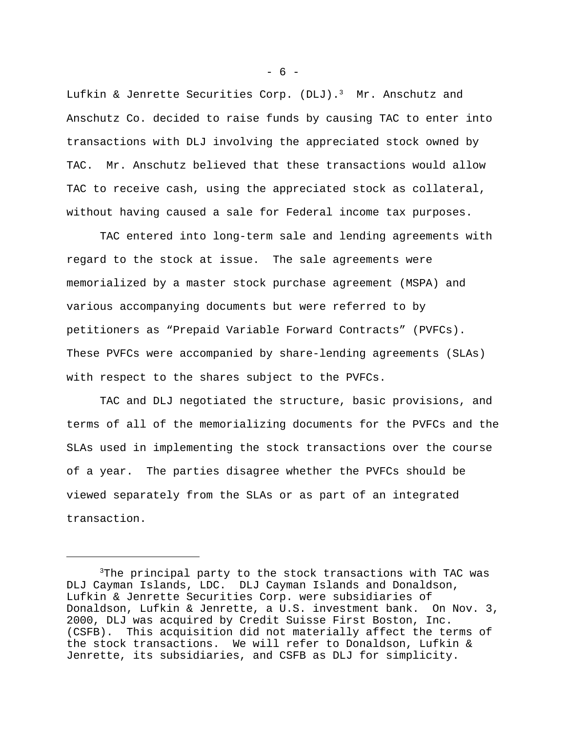Lufkin & Jenrette Securities Corp. (DLJ).<sup>3</sup> Mr. Anschutz and Anschutz Co. decided to raise funds by causing TAC to enter into transactions with DLJ involving the appreciated stock owned by TAC. Mr. Anschutz believed that these transactions would allow TAC to receive cash, using the appreciated stock as collateral, without having caused a sale for Federal income tax purposes.

TAC entered into long-term sale and lending agreements with regard to the stock at issue. The sale agreements were memorialized by a master stock purchase agreement (MSPA) and various accompanying documents but were referred to by petitioners as "Prepaid Variable Forward Contracts" (PVFCs). These PVFCs were accompanied by share-lending agreements (SLAs) with respect to the shares subject to the PVFCs.

TAC and DLJ negotiated the structure, basic provisions, and terms of all of the memorializing documents for the PVFCs and the SLAs used in implementing the stock transactions over the course of a year. The parties disagree whether the PVFCs should be viewed separately from the SLAs or as part of an integrated transaction.

 $- 6 -$ 

<sup>3</sup>The principal party to the stock transactions with TAC was DLJ Cayman Islands, LDC. DLJ Cayman Islands and Donaldson, Lufkin & Jenrette Securities Corp. were subsidiaries of Donaldson, Lufkin & Jenrette, a U.S. investment bank. On Nov. 3, 2000, DLJ was acquired by Credit Suisse First Boston, Inc. (CSFB). This acquisition did not materially affect the terms of the stock transactions. We will refer to Donaldson, Lufkin & Jenrette, its subsidiaries, and CSFB as DLJ for simplicity.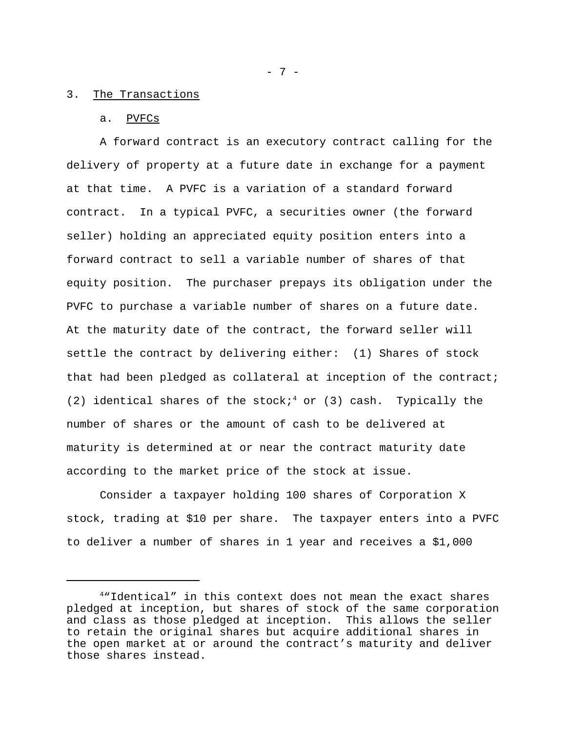## 3. The Transactions

### a. PVFCs

A forward contract is an executory contract calling for the delivery of property at a future date in exchange for a payment at that time. A PVFC is a variation of a standard forward contract. In a typical PVFC, a securities owner (the forward seller) holding an appreciated equity position enters into a forward contract to sell a variable number of shares of that equity position. The purchaser prepays its obligation under the PVFC to purchase a variable number of shares on a future date. At the maturity date of the contract, the forward seller will settle the contract by delivering either: (1) Shares of stock that had been pledged as collateral at inception of the contract; (2) identical shares of the stock;<sup>4</sup> or (3) cash. Typically the number of shares or the amount of cash to be delivered at maturity is determined at or near the contract maturity date according to the market price of the stock at issue.

Consider a taxpayer holding 100 shares of Corporation X stock, trading at \$10 per share. The taxpayer enters into a PVFC to deliver a number of shares in 1 year and receives a \$1,000

- 7 -

<sup>4</sup>"Identical" in this context does not mean the exact shares pledged at inception, but shares of stock of the same corporation and class as those pledged at inception. This allows the seller to retain the original shares but acquire additional shares in the open market at or around the contract's maturity and deliver those shares instead.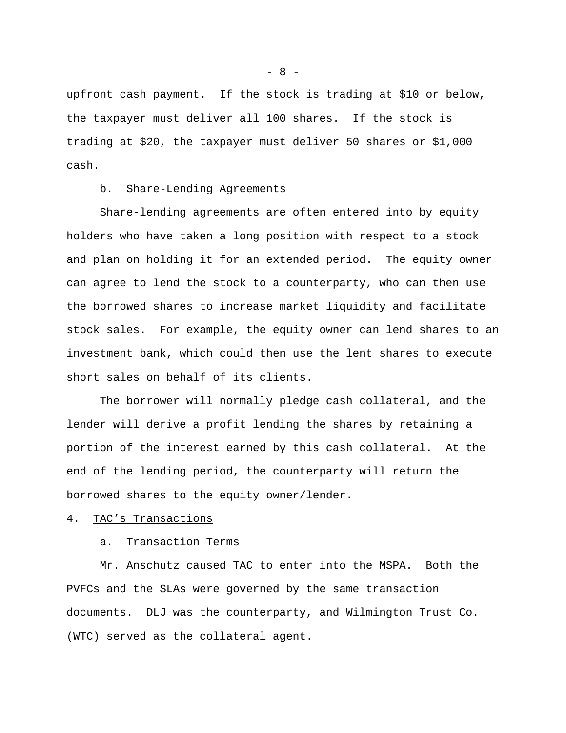upfront cash payment. If the stock is trading at \$10 or below, the taxpayer must deliver all 100 shares. If the stock is trading at \$20, the taxpayer must deliver 50 shares or \$1,000 cash.

## b. Share-Lending Agreements

Share-lending agreements are often entered into by equity holders who have taken a long position with respect to a stock and plan on holding it for an extended period. The equity owner can agree to lend the stock to a counterparty, who can then use the borrowed shares to increase market liquidity and facilitate stock sales. For example, the equity owner can lend shares to an investment bank, which could then use the lent shares to execute short sales on behalf of its clients.

The borrower will normally pledge cash collateral, and the lender will derive a profit lending the shares by retaining a portion of the interest earned by this cash collateral. At the end of the lending period, the counterparty will return the borrowed shares to the equity owner/lender.

# 4. TAC's Transactions

### a. Transaction Terms

Mr. Anschutz caused TAC to enter into the MSPA. Both the PVFCs and the SLAs were governed by the same transaction documents. DLJ was the counterparty, and Wilmington Trust Co. (WTC) served as the collateral agent.

 $- 8 -$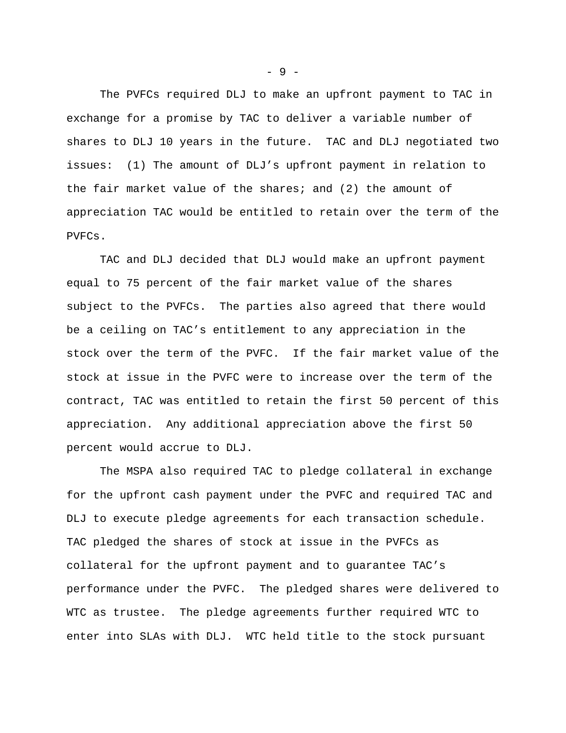The PVFCs required DLJ to make an upfront payment to TAC in exchange for a promise by TAC to deliver a variable number of shares to DLJ 10 years in the future. TAC and DLJ negotiated two issues: (1) The amount of DLJ's upfront payment in relation to the fair market value of the shares; and (2) the amount of appreciation TAC would be entitled to retain over the term of the PVFCs.

TAC and DLJ decided that DLJ would make an upfront payment equal to 75 percent of the fair market value of the shares subject to the PVFCs. The parties also agreed that there would be a ceiling on TAC's entitlement to any appreciation in the stock over the term of the PVFC. If the fair market value of the stock at issue in the PVFC were to increase over the term of the contract, TAC was entitled to retain the first 50 percent of this appreciation. Any additional appreciation above the first 50 percent would accrue to DLJ.

The MSPA also required TAC to pledge collateral in exchange for the upfront cash payment under the PVFC and required TAC and DLJ to execute pledge agreements for each transaction schedule. TAC pledged the shares of stock at issue in the PVFCs as collateral for the upfront payment and to guarantee TAC's performance under the PVFC. The pledged shares were delivered to WTC as trustee. The pledge agreements further required WTC to enter into SLAs with DLJ. WTC held title to the stock pursuant

- 9 -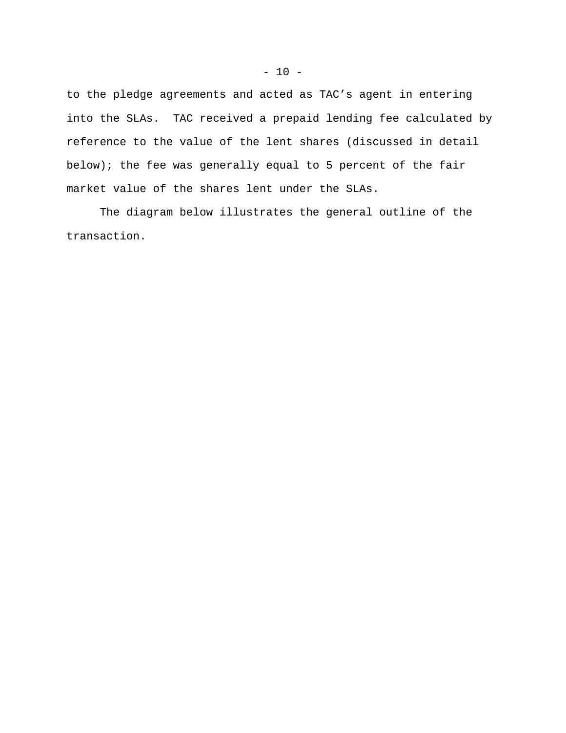to the pledge agreements and acted as TAC's agent in entering into the SLAs. TAC received a prepaid lending fee calculated by reference to the value of the lent shares (discussed in detail below); the fee was generally equal to 5 percent of the fair market value of the shares lent under the SLAs.

The diagram below illustrates the general outline of the transaction.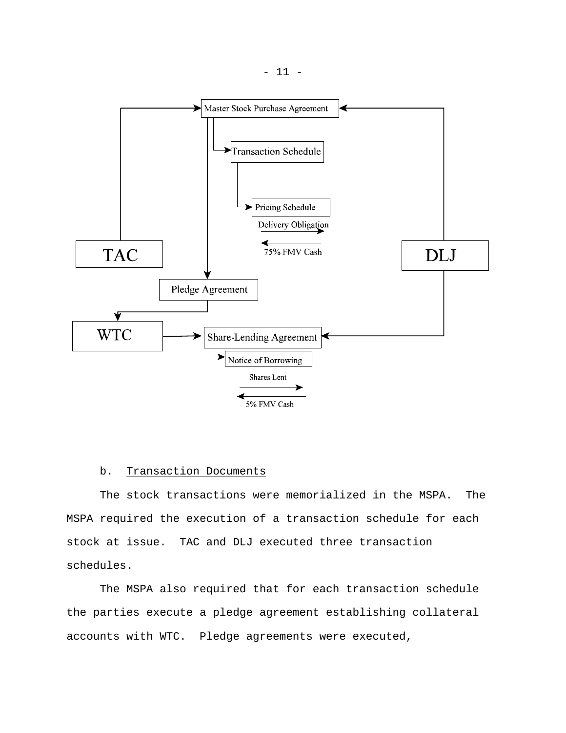

# b. Transaction Documents

The stock transactions were memorialized in the MSPA. The MSPA required the execution of a transaction schedule for each stock at issue. TAC and DLJ executed three transaction schedules.

The MSPA also required that for each transaction schedule the parties execute a pledge agreement establishing collateral accounts with WTC. Pledge agreements were executed,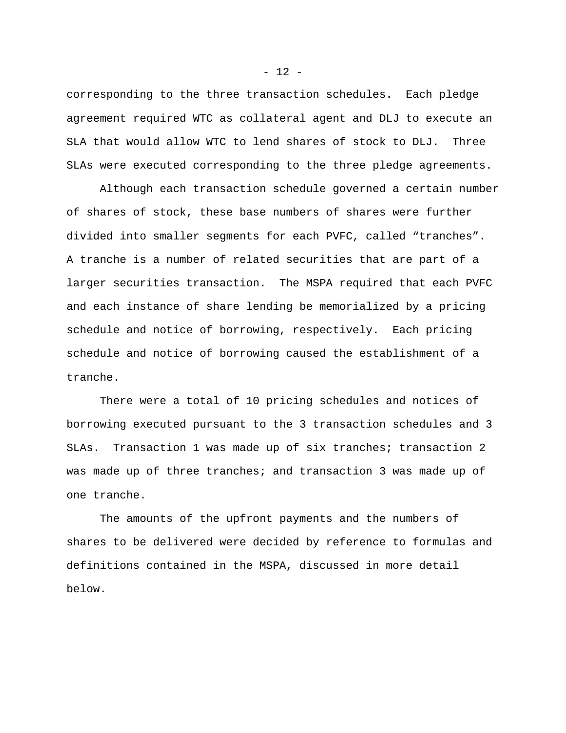corresponding to the three transaction schedules. Each pledge agreement required WTC as collateral agent and DLJ to execute an SLA that would allow WTC to lend shares of stock to DLJ. Three SLAs were executed corresponding to the three pledge agreements.

Although each transaction schedule governed a certain number of shares of stock, these base numbers of shares were further divided into smaller segments for each PVFC, called "tranches". A tranche is a number of related securities that are part of a larger securities transaction. The MSPA required that each PVFC and each instance of share lending be memorialized by a pricing schedule and notice of borrowing, respectively. Each pricing schedule and notice of borrowing caused the establishment of a tranche.

There were a total of 10 pricing schedules and notices of borrowing executed pursuant to the 3 transaction schedules and 3 SLAs. Transaction 1 was made up of six tranches; transaction 2 was made up of three tranches; and transaction 3 was made up of one tranche.

The amounts of the upfront payments and the numbers of shares to be delivered were decided by reference to formulas and definitions contained in the MSPA, discussed in more detail below.

 $- 12 -$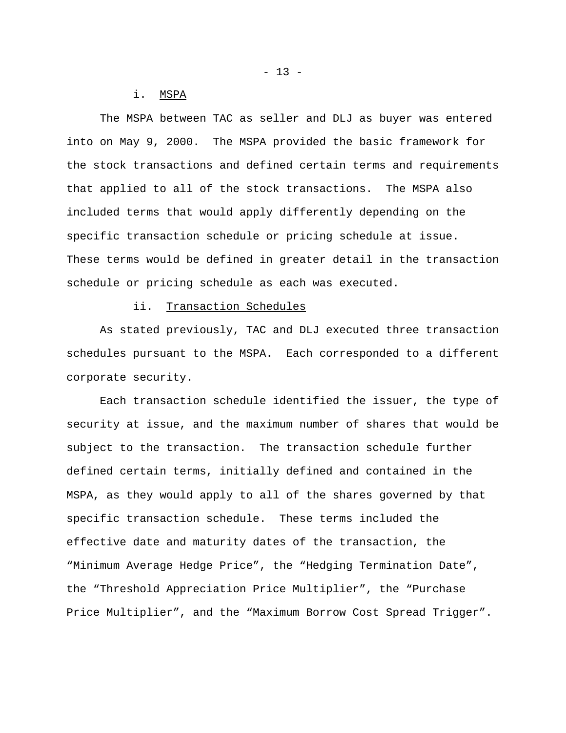### i. MSPA

The MSPA between TAC as seller and DLJ as buyer was entered into on May 9, 2000. The MSPA provided the basic framework for the stock transactions and defined certain terms and requirements that applied to all of the stock transactions. The MSPA also included terms that would apply differently depending on the specific transaction schedule or pricing schedule at issue. These terms would be defined in greater detail in the transaction schedule or pricing schedule as each was executed.

# ii. Transaction Schedules

As stated previously, TAC and DLJ executed three transaction schedules pursuant to the MSPA. Each corresponded to a different corporate security.

Each transaction schedule identified the issuer, the type of security at issue, and the maximum number of shares that would be subject to the transaction. The transaction schedule further defined certain terms, initially defined and contained in the MSPA, as they would apply to all of the shares governed by that specific transaction schedule. These terms included the effective date and maturity dates of the transaction, the "Minimum Average Hedge Price", the "Hedging Termination Date", the "Threshold Appreciation Price Multiplier", the "Purchase Price Multiplier", and the "Maximum Borrow Cost Spread Trigger".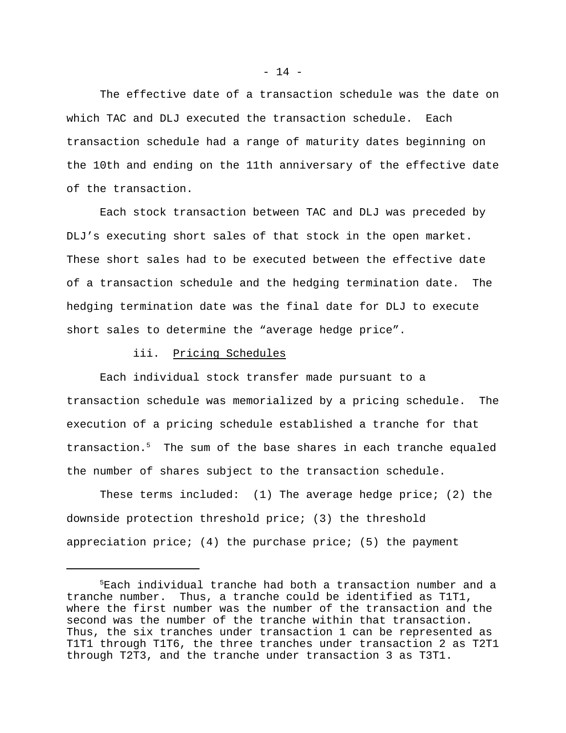The effective date of a transaction schedule was the date on which TAC and DLJ executed the transaction schedule. Each transaction schedule had a range of maturity dates beginning on the 10th and ending on the 11th anniversary of the effective date of the transaction.

Each stock transaction between TAC and DLJ was preceded by DLJ's executing short sales of that stock in the open market. These short sales had to be executed between the effective date of a transaction schedule and the hedging termination date. The hedging termination date was the final date for DLJ to execute short sales to determine the "average hedge price".

## iii. Pricing Schedules

Each individual stock transfer made pursuant to a transaction schedule was memorialized by a pricing schedule. The execution of a pricing schedule established a tranche for that transaction.<sup>5</sup> The sum of the base shares in each tranche equaled the number of shares subject to the transaction schedule.

These terms included:  $(1)$  The average hedge price;  $(2)$  the downside protection threshold price; (3) the threshold appreciation price; (4) the purchase price; (5) the payment

<sup>5</sup>Each individual tranche had both a transaction number and a tranche number. Thus, a tranche could be identified as T1T1, where the first number was the number of the transaction and the second was the number of the tranche within that transaction. Thus, the six tranches under transaction 1 can be represented as T1T1 through T1T6, the three tranches under transaction 2 as T2T1 through T2T3, and the tranche under transaction 3 as T3T1.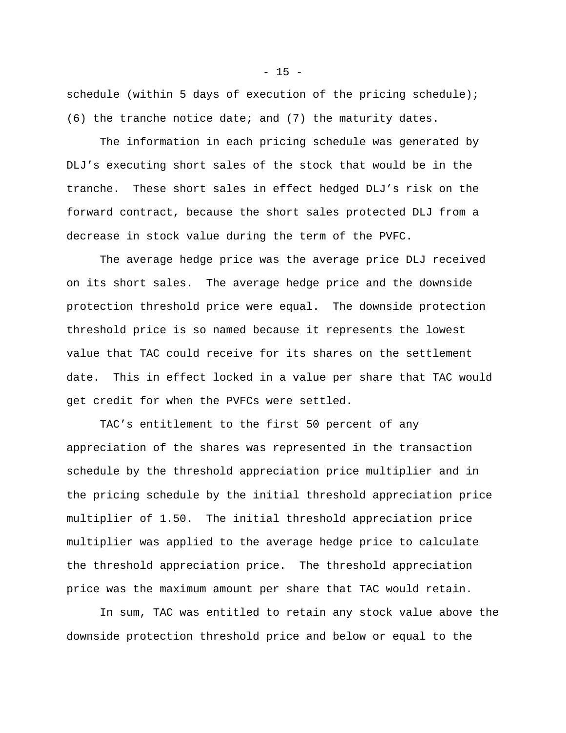schedule (within 5 days of execution of the pricing schedule); (6) the tranche notice date; and (7) the maturity dates.

The information in each pricing schedule was generated by DLJ's executing short sales of the stock that would be in the tranche. These short sales in effect hedged DLJ's risk on the forward contract, because the short sales protected DLJ from a decrease in stock value during the term of the PVFC.

The average hedge price was the average price DLJ received on its short sales. The average hedge price and the downside protection threshold price were equal. The downside protection threshold price is so named because it represents the lowest value that TAC could receive for its shares on the settlement date. This in effect locked in a value per share that TAC would get credit for when the PVFCs were settled.

TAC's entitlement to the first 50 percent of any appreciation of the shares was represented in the transaction schedule by the threshold appreciation price multiplier and in the pricing schedule by the initial threshold appreciation price multiplier of 1.50. The initial threshold appreciation price multiplier was applied to the average hedge price to calculate the threshold appreciation price. The threshold appreciation price was the maximum amount per share that TAC would retain.

In sum, TAC was entitled to retain any stock value above the downside protection threshold price and below or equal to the

 $- 15 -$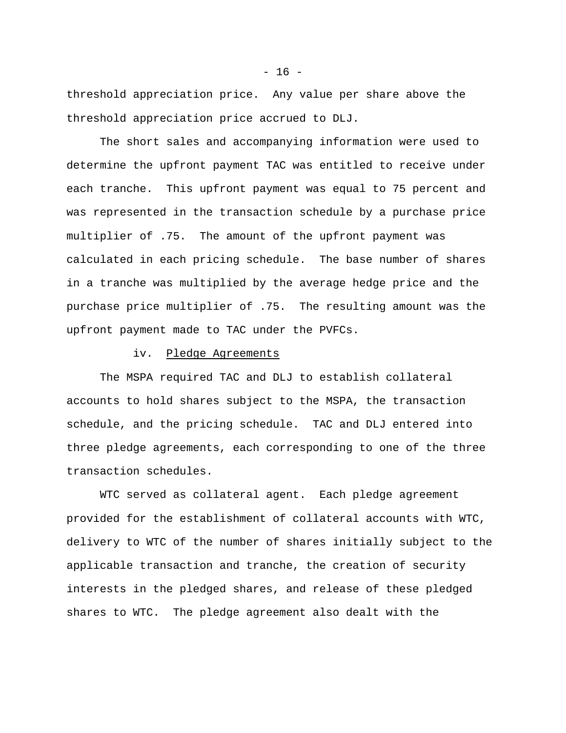threshold appreciation price. Any value per share above the threshold appreciation price accrued to DLJ.

The short sales and accompanying information were used to determine the upfront payment TAC was entitled to receive under each tranche. This upfront payment was equal to 75 percent and was represented in the transaction schedule by a purchase price multiplier of .75. The amount of the upfront payment was calculated in each pricing schedule. The base number of shares in a tranche was multiplied by the average hedge price and the purchase price multiplier of .75. The resulting amount was the upfront payment made to TAC under the PVFCs.

## iv. Pledge Agreements

The MSPA required TAC and DLJ to establish collateral accounts to hold shares subject to the MSPA, the transaction schedule, and the pricing schedule. TAC and DLJ entered into three pledge agreements, each corresponding to one of the three transaction schedules.

WTC served as collateral agent. Each pledge agreement provided for the establishment of collateral accounts with WTC, delivery to WTC of the number of shares initially subject to the applicable transaction and tranche, the creation of security interests in the pledged shares, and release of these pledged shares to WTC. The pledge agreement also dealt with the

 $- 16 -$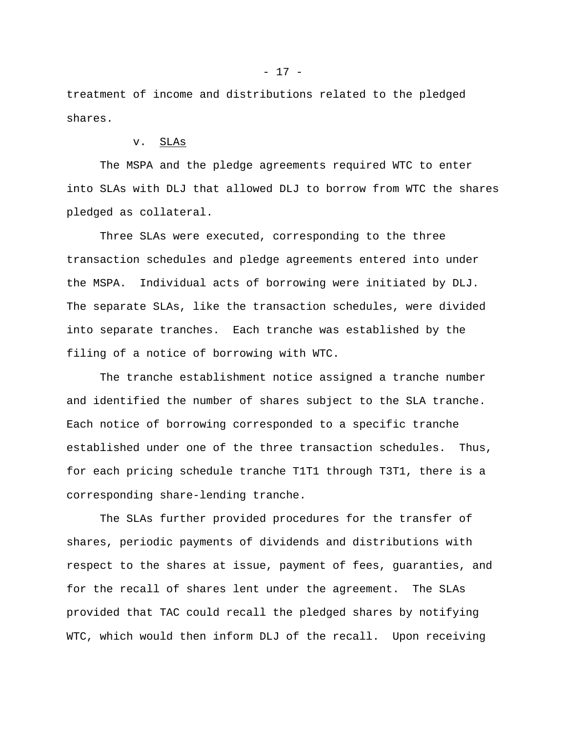treatment of income and distributions related to the pledged shares.

# v. SLAs

The MSPA and the pledge agreements required WTC to enter into SLAs with DLJ that allowed DLJ to borrow from WTC the shares pledged as collateral.

Three SLAs were executed, corresponding to the three transaction schedules and pledge agreements entered into under the MSPA. Individual acts of borrowing were initiated by DLJ. The separate SLAs, like the transaction schedules, were divided into separate tranches. Each tranche was established by the filing of a notice of borrowing with WTC.

The tranche establishment notice assigned a tranche number and identified the number of shares subject to the SLA tranche. Each notice of borrowing corresponded to a specific tranche established under one of the three transaction schedules. Thus, for each pricing schedule tranche T1T1 through T3T1, there is a corresponding share-lending tranche.

The SLAs further provided procedures for the transfer of shares, periodic payments of dividends and distributions with respect to the shares at issue, payment of fees, guaranties, and for the recall of shares lent under the agreement. The SLAs provided that TAC could recall the pledged shares by notifying WTC, which would then inform DLJ of the recall. Upon receiving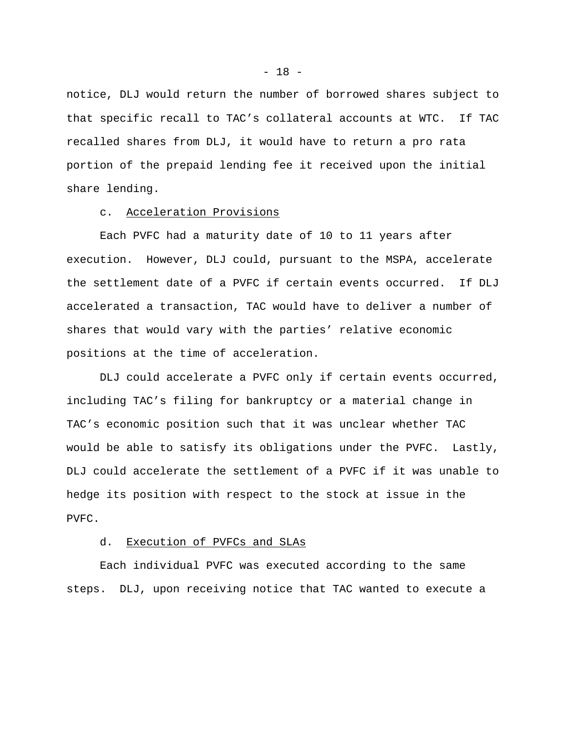notice, DLJ would return the number of borrowed shares subject to that specific recall to TAC's collateral accounts at WTC. If TAC recalled shares from DLJ, it would have to return a pro rata portion of the prepaid lending fee it received upon the initial share lending.

## c. Acceleration Provisions

Each PVFC had a maturity date of 10 to 11 years after execution. However, DLJ could, pursuant to the MSPA, accelerate the settlement date of a PVFC if certain events occurred. If DLJ accelerated a transaction, TAC would have to deliver a number of shares that would vary with the parties' relative economic positions at the time of acceleration.

DLJ could accelerate a PVFC only if certain events occurred, including TAC's filing for bankruptcy or a material change in TAC's economic position such that it was unclear whether TAC would be able to satisfy its obligations under the PVFC. Lastly, DLJ could accelerate the settlement of a PVFC if it was unable to hedge its position with respect to the stock at issue in the PVFC.

### d. Execution of PVFCs and SLAs

Each individual PVFC was executed according to the same steps. DLJ, upon receiving notice that TAC wanted to execute a

 $- 18 -$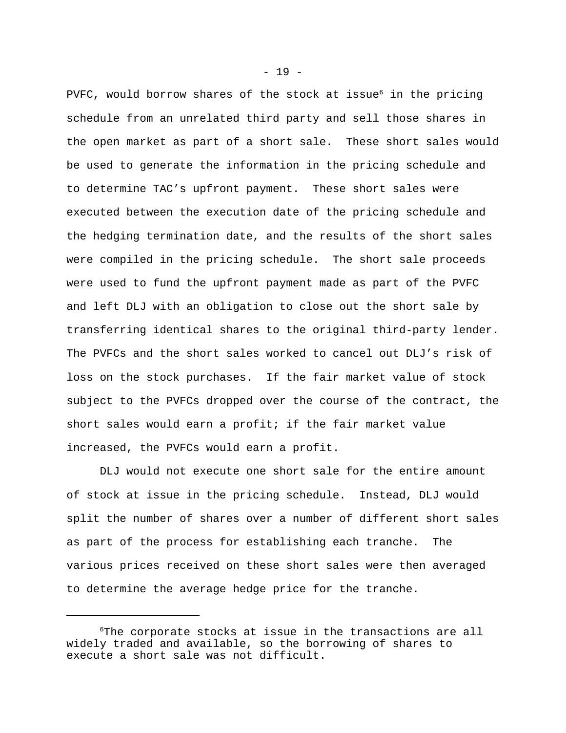PVFC, would borrow shares of the stock at issue<sup>6</sup> in the pricing schedule from an unrelated third party and sell those shares in the open market as part of a short sale. These short sales would be used to generate the information in the pricing schedule and to determine TAC's upfront payment. These short sales were executed between the execution date of the pricing schedule and the hedging termination date, and the results of the short sales were compiled in the pricing schedule. The short sale proceeds were used to fund the upfront payment made as part of the PVFC and left DLJ with an obligation to close out the short sale by transferring identical shares to the original third-party lender. The PVFCs and the short sales worked to cancel out DLJ's risk of loss on the stock purchases. If the fair market value of stock subject to the PVFCs dropped over the course of the contract, the short sales would earn a profit; if the fair market value increased, the PVFCs would earn a profit.

DLJ would not execute one short sale for the entire amount of stock at issue in the pricing schedule. Instead, DLJ would split the number of shares over a number of different short sales as part of the process for establishing each tranche. The various prices received on these short sales were then averaged to determine the average hedge price for the tranche.

 $- 19 -$ 

<sup>6</sup>The corporate stocks at issue in the transactions are all widely traded and available, so the borrowing of shares to execute a short sale was not difficult.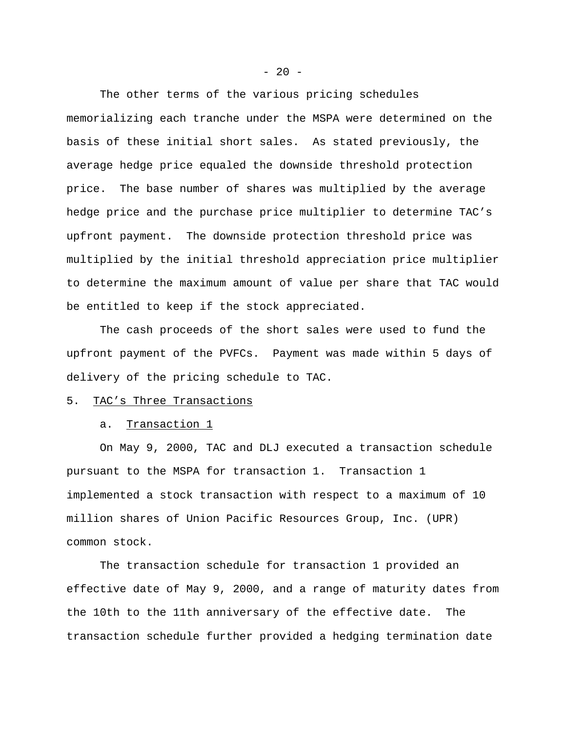The other terms of the various pricing schedules memorializing each tranche under the MSPA were determined on the basis of these initial short sales. As stated previously, the average hedge price equaled the downside threshold protection price. The base number of shares was multiplied by the average hedge price and the purchase price multiplier to determine TAC's upfront payment. The downside protection threshold price was multiplied by the initial threshold appreciation price multiplier to determine the maximum amount of value per share that TAC would be entitled to keep if the stock appreciated.

The cash proceeds of the short sales were used to fund the upfront payment of the PVFCs. Payment was made within 5 days of delivery of the pricing schedule to TAC.

## 5. TAC's Three Transactions

#### a. Transaction 1

On May 9, 2000, TAC and DLJ executed a transaction schedule pursuant to the MSPA for transaction 1. Transaction 1 implemented a stock transaction with respect to a maximum of 10 million shares of Union Pacific Resources Group, Inc. (UPR) common stock.

The transaction schedule for transaction 1 provided an effective date of May 9, 2000, and a range of maturity dates from the 10th to the 11th anniversary of the effective date. The transaction schedule further provided a hedging termination date

 $- 20 -$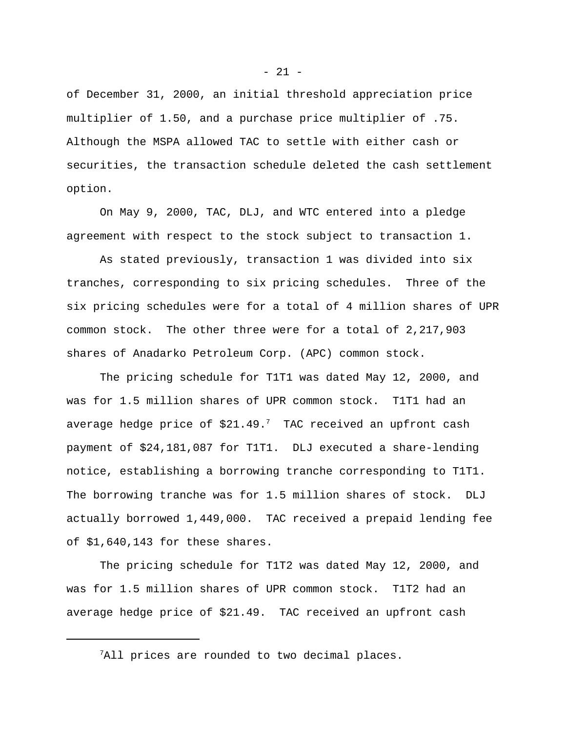of December 31, 2000, an initial threshold appreciation price multiplier of 1.50, and a purchase price multiplier of .75. Although the MSPA allowed TAC to settle with either cash or securities, the transaction schedule deleted the cash settlement option.

On May 9, 2000, TAC, DLJ, and WTC entered into a pledge agreement with respect to the stock subject to transaction 1.

As stated previously, transaction 1 was divided into six tranches, corresponding to six pricing schedules. Three of the six pricing schedules were for a total of 4 million shares of UPR common stock. The other three were for a total of 2,217,903 shares of Anadarko Petroleum Corp. (APC) common stock.

The pricing schedule for T1T1 was dated May 12, 2000, and was for 1.5 million shares of UPR common stock. T1T1 had an average hedge price of  $$21.49$ .<sup>7</sup> TAC received an upfront cash payment of \$24,181,087 for T1T1. DLJ executed a share-lending notice, establishing a borrowing tranche corresponding to T1T1. The borrowing tranche was for 1.5 million shares of stock. DLJ actually borrowed 1,449,000. TAC received a prepaid lending fee of \$1,640,143 for these shares.

The pricing schedule for T1T2 was dated May 12, 2000, and was for 1.5 million shares of UPR common stock. T1T2 had an average hedge price of \$21.49. TAC received an upfront cash

<sup>&</sup>lt;sup>7</sup>All prices are rounded to two decimal places.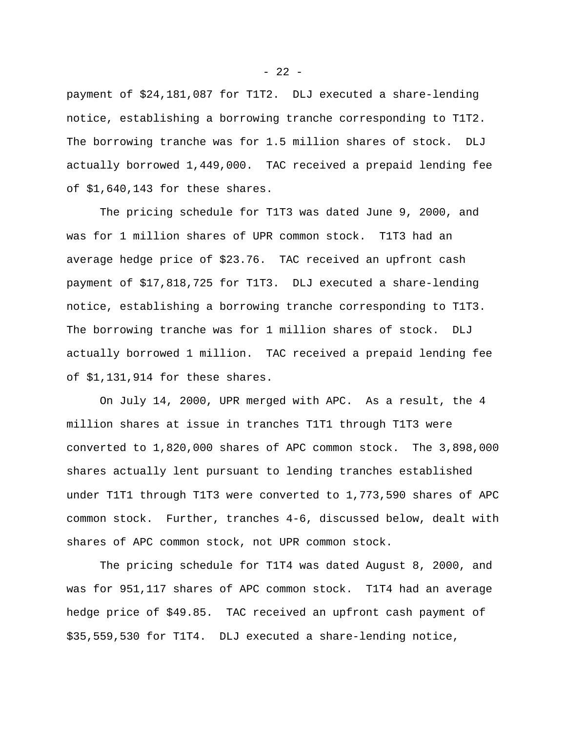payment of \$24,181,087 for T1T2. DLJ executed a share-lending notice, establishing a borrowing tranche corresponding to T1T2. The borrowing tranche was for 1.5 million shares of stock. DLJ actually borrowed 1,449,000. TAC received a prepaid lending fee of \$1,640,143 for these shares.

The pricing schedule for T1T3 was dated June 9, 2000, and was for 1 million shares of UPR common stock. T1T3 had an average hedge price of \$23.76. TAC received an upfront cash payment of \$17,818,725 for T1T3. DLJ executed a share-lending notice, establishing a borrowing tranche corresponding to T1T3. The borrowing tranche was for 1 million shares of stock. DLJ actually borrowed 1 million. TAC received a prepaid lending fee of \$1,131,914 for these shares.

On July 14, 2000, UPR merged with APC. As a result, the 4 million shares at issue in tranches T1T1 through T1T3 were converted to 1,820,000 shares of APC common stock. The 3,898,000 shares actually lent pursuant to lending tranches established under T1T1 through T1T3 were converted to 1,773,590 shares of APC common stock. Further, tranches 4-6, discussed below, dealt with shares of APC common stock, not UPR common stock.

The pricing schedule for T1T4 was dated August 8, 2000, and was for 951,117 shares of APC common stock. T1T4 had an average hedge price of \$49.85. TAC received an upfront cash payment of \$35,559,530 for T1T4. DLJ executed a share-lending notice,

 $- 22 -$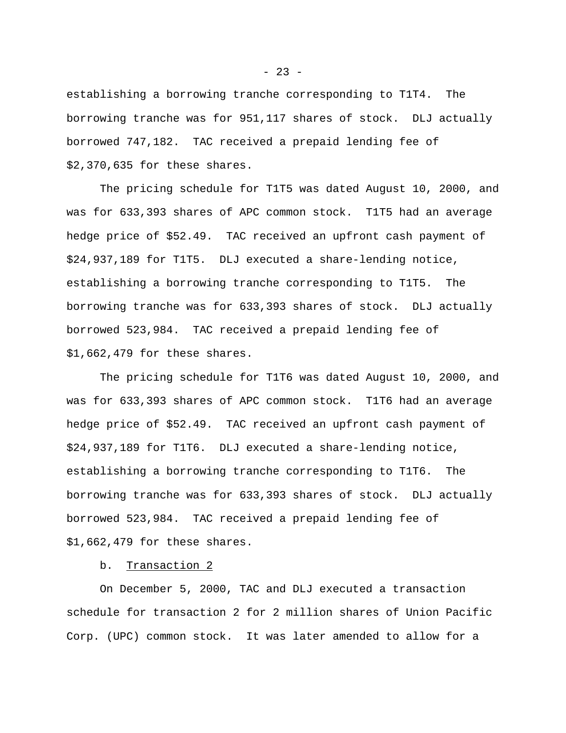establishing a borrowing tranche corresponding to T1T4. The borrowing tranche was for 951,117 shares of stock. DLJ actually borrowed 747,182. TAC received a prepaid lending fee of \$2,370,635 for these shares.

The pricing schedule for T1T5 was dated August 10, 2000, and was for 633,393 shares of APC common stock. T1T5 had an average hedge price of \$52.49. TAC received an upfront cash payment of \$24,937,189 for T1T5. DLJ executed a share-lending notice, establishing a borrowing tranche corresponding to T1T5. The borrowing tranche was for 633,393 shares of stock. DLJ actually borrowed 523,984. TAC received a prepaid lending fee of \$1,662,479 for these shares.

The pricing schedule for T1T6 was dated August 10, 2000, and was for 633,393 shares of APC common stock. T1T6 had an average hedge price of \$52.49. TAC received an upfront cash payment of \$24,937,189 for T1T6. DLJ executed a share-lending notice, establishing a borrowing tranche corresponding to T1T6. The borrowing tranche was for 633,393 shares of stock. DLJ actually borrowed 523,984. TAC received a prepaid lending fee of \$1,662,479 for these shares.

b. Transaction 2

On December 5, 2000, TAC and DLJ executed a transaction schedule for transaction 2 for 2 million shares of Union Pacific Corp. (UPC) common stock. It was later amended to allow for a

 $- 23 -$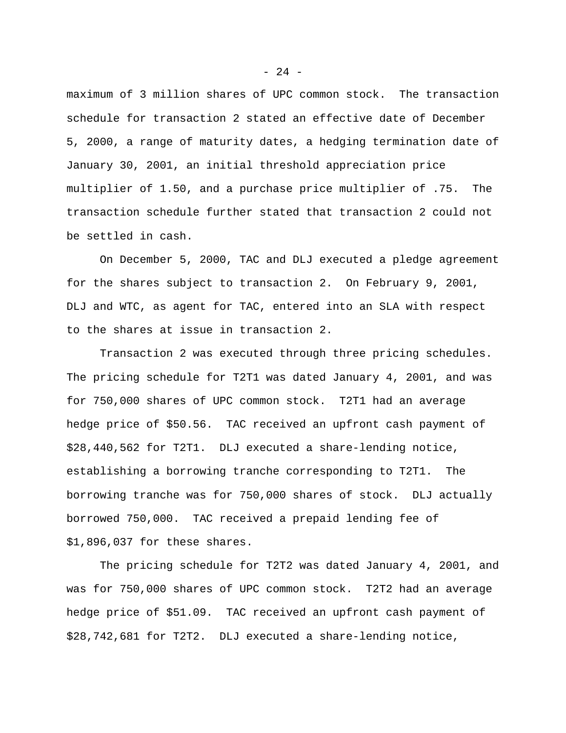maximum of 3 million shares of UPC common stock. The transaction schedule for transaction 2 stated an effective date of December 5, 2000, a range of maturity dates, a hedging termination date of January 30, 2001, an initial threshold appreciation price multiplier of 1.50, and a purchase price multiplier of .75. The transaction schedule further stated that transaction 2 could not be settled in cash.

On December 5, 2000, TAC and DLJ executed a pledge agreement for the shares subject to transaction 2. On February 9, 2001, DLJ and WTC, as agent for TAC, entered into an SLA with respect to the shares at issue in transaction 2.

Transaction 2 was executed through three pricing schedules. The pricing schedule for T2T1 was dated January 4, 2001, and was for 750,000 shares of UPC common stock. T2T1 had an average hedge price of \$50.56. TAC received an upfront cash payment of \$28,440,562 for T2T1. DLJ executed a share-lending notice, establishing a borrowing tranche corresponding to T2T1. The borrowing tranche was for 750,000 shares of stock. DLJ actually borrowed 750,000. TAC received a prepaid lending fee of \$1,896,037 for these shares.

The pricing schedule for T2T2 was dated January 4, 2001, and was for 750,000 shares of UPC common stock. T2T2 had an average hedge price of \$51.09. TAC received an upfront cash payment of \$28,742,681 for T2T2. DLJ executed a share-lending notice,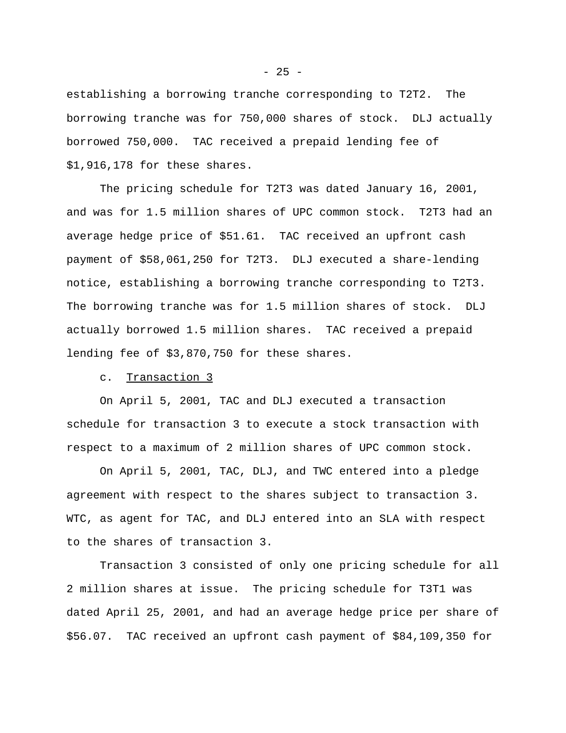establishing a borrowing tranche corresponding to T2T2. The borrowing tranche was for 750,000 shares of stock. DLJ actually borrowed 750,000. TAC received a prepaid lending fee of \$1,916,178 for these shares.

The pricing schedule for T2T3 was dated January 16, 2001, and was for 1.5 million shares of UPC common stock. T2T3 had an average hedge price of \$51.61. TAC received an upfront cash payment of \$58,061,250 for T2T3. DLJ executed a share-lending notice, establishing a borrowing tranche corresponding to T2T3. The borrowing tranche was for 1.5 million shares of stock. DLJ actually borrowed 1.5 million shares. TAC received a prepaid lending fee of \$3,870,750 for these shares.

c. Transaction 3

On April 5, 2001, TAC and DLJ executed a transaction schedule for transaction 3 to execute a stock transaction with respect to a maximum of 2 million shares of UPC common stock.

On April 5, 2001, TAC, DLJ, and TWC entered into a pledge agreement with respect to the shares subject to transaction 3. WTC, as agent for TAC, and DLJ entered into an SLA with respect to the shares of transaction 3.

Transaction 3 consisted of only one pricing schedule for all 2 million shares at issue. The pricing schedule for T3T1 was dated April 25, 2001, and had an average hedge price per share of \$56.07. TAC received an upfront cash payment of \$84,109,350 for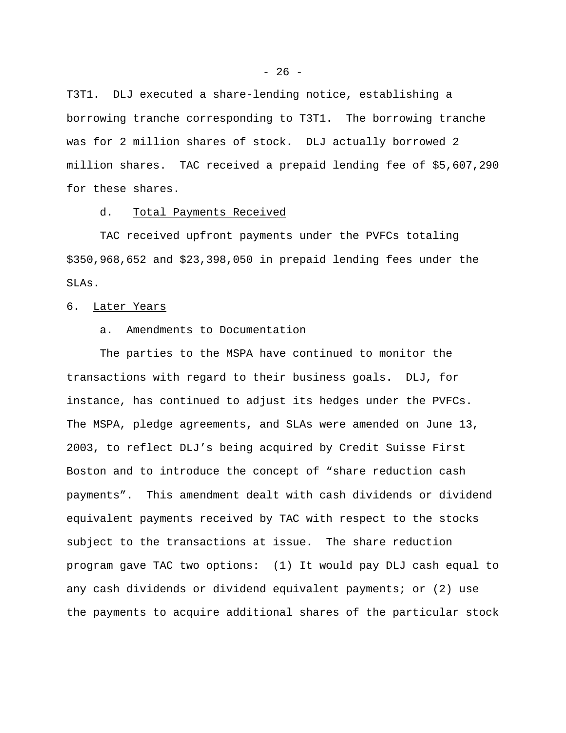T3T1. DLJ executed a share-lending notice, establishing a borrowing tranche corresponding to T3T1. The borrowing tranche was for 2 million shares of stock. DLJ actually borrowed 2 million shares. TAC received a prepaid lending fee of \$5,607,290 for these shares.

### d. Total Payments Received

TAC received upfront payments under the PVFCs totaling \$350,968,652 and \$23,398,050 in prepaid lending fees under the SLAs.

## 6. Later Years

# a. Amendments to Documentation

The parties to the MSPA have continued to monitor the transactions with regard to their business goals. DLJ, for instance, has continued to adjust its hedges under the PVFCs. The MSPA, pledge agreements, and SLAs were amended on June 13, 2003, to reflect DLJ's being acquired by Credit Suisse First Boston and to introduce the concept of "share reduction cash payments". This amendment dealt with cash dividends or dividend equivalent payments received by TAC with respect to the stocks subject to the transactions at issue. The share reduction program gave TAC two options: (1) It would pay DLJ cash equal to any cash dividends or dividend equivalent payments; or (2) use the payments to acquire additional shares of the particular stock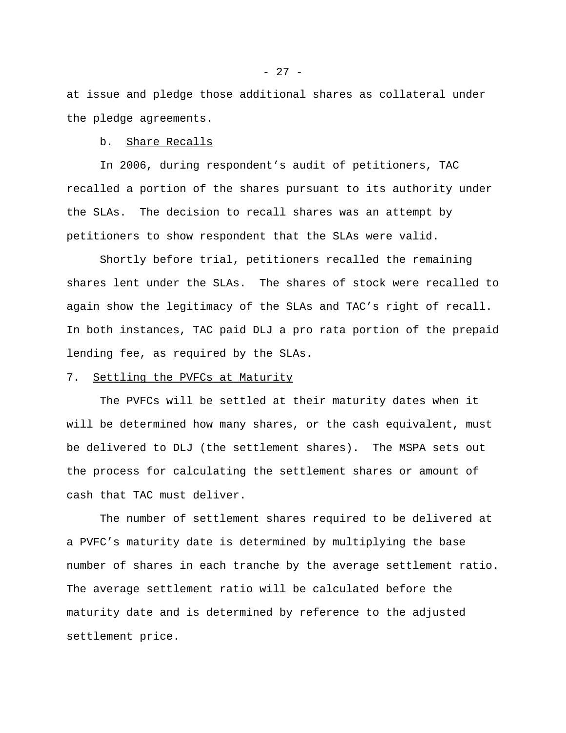at issue and pledge those additional shares as collateral under the pledge agreements.

b. Share Recalls

In 2006, during respondent's audit of petitioners, TAC recalled a portion of the shares pursuant to its authority under the SLAs. The decision to recall shares was an attempt by petitioners to show respondent that the SLAs were valid.

Shortly before trial, petitioners recalled the remaining shares lent under the SLAs. The shares of stock were recalled to again show the legitimacy of the SLAs and TAC's right of recall. In both instances, TAC paid DLJ a pro rata portion of the prepaid lending fee, as required by the SLAs.

## 7. Settling the PVFCs at Maturity

The PVFCs will be settled at their maturity dates when it will be determined how many shares, or the cash equivalent, must be delivered to DLJ (the settlement shares). The MSPA sets out the process for calculating the settlement shares or amount of cash that TAC must deliver.

The number of settlement shares required to be delivered at a PVFC's maturity date is determined by multiplying the base number of shares in each tranche by the average settlement ratio. The average settlement ratio will be calculated before the maturity date and is determined by reference to the adjusted settlement price.

- 27 -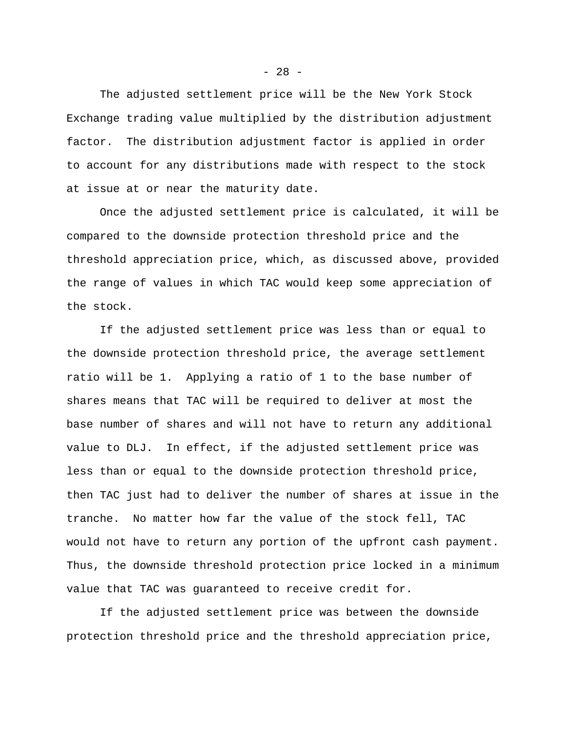The adjusted settlement price will be the New York Stock Exchange trading value multiplied by the distribution adjustment factor. The distribution adjustment factor is applied in order to account for any distributions made with respect to the stock at issue at or near the maturity date.

Once the adjusted settlement price is calculated, it will be compared to the downside protection threshold price and the threshold appreciation price, which, as discussed above, provided the range of values in which TAC would keep some appreciation of the stock.

If the adjusted settlement price was less than or equal to the downside protection threshold price, the average settlement ratio will be 1. Applying a ratio of 1 to the base number of shares means that TAC will be required to deliver at most the base number of shares and will not have to return any additional value to DLJ. In effect, if the adjusted settlement price was less than or equal to the downside protection threshold price, then TAC just had to deliver the number of shares at issue in the tranche. No matter how far the value of the stock fell, TAC would not have to return any portion of the upfront cash payment. Thus, the downside threshold protection price locked in a minimum value that TAC was guaranteed to receive credit for.

If the adjusted settlement price was between the downside protection threshold price and the threshold appreciation price,

 $- 28 -$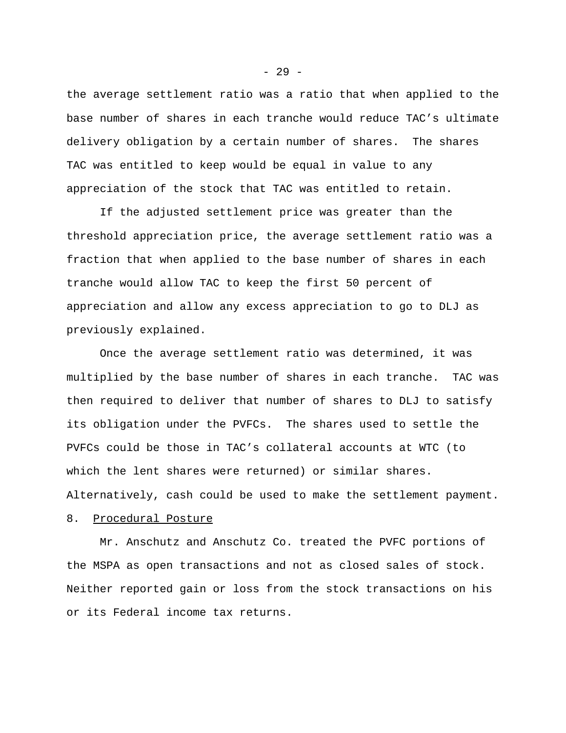the average settlement ratio was a ratio that when applied to the base number of shares in each tranche would reduce TAC's ultimate delivery obligation by a certain number of shares. The shares TAC was entitled to keep would be equal in value to any appreciation of the stock that TAC was entitled to retain.

If the adjusted settlement price was greater than the threshold appreciation price, the average settlement ratio was a fraction that when applied to the base number of shares in each tranche would allow TAC to keep the first 50 percent of appreciation and allow any excess appreciation to go to DLJ as previously explained.

Once the average settlement ratio was determined, it was multiplied by the base number of shares in each tranche. TAC was then required to deliver that number of shares to DLJ to satisfy its obligation under the PVFCs. The shares used to settle the PVFCs could be those in TAC's collateral accounts at WTC (to which the lent shares were returned) or similar shares. Alternatively, cash could be used to make the settlement payment.

## 8. Procedural Posture

Mr. Anschutz and Anschutz Co. treated the PVFC portions of the MSPA as open transactions and not as closed sales of stock. Neither reported gain or loss from the stock transactions on his or its Federal income tax returns.

- 29 -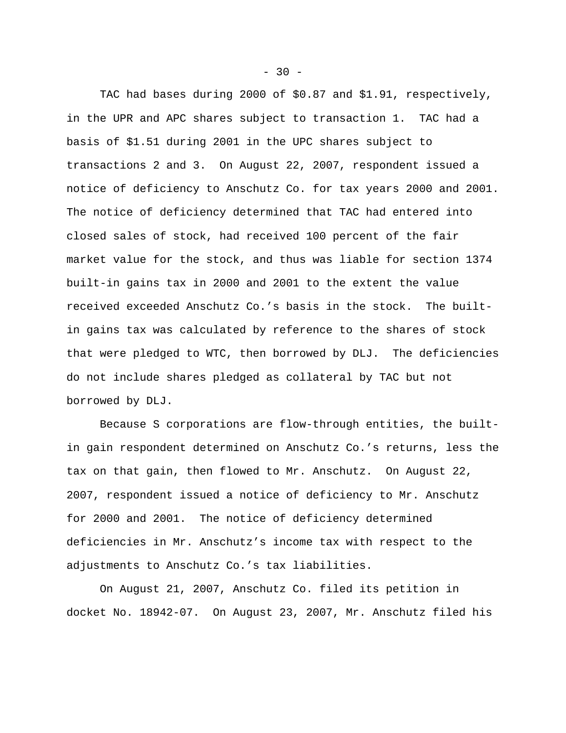TAC had bases during 2000 of \$0.87 and \$1.91, respectively, in the UPR and APC shares subject to transaction 1. TAC had a basis of \$1.51 during 2001 in the UPC shares subject to transactions 2 and 3. On August 22, 2007, respondent issued a notice of deficiency to Anschutz Co. for tax years 2000 and 2001. The notice of deficiency determined that TAC had entered into closed sales of stock, had received 100 percent of the fair market value for the stock, and thus was liable for section 1374 built-in gains tax in 2000 and 2001 to the extent the value received exceeded Anschutz Co.'s basis in the stock. The builtin gains tax was calculated by reference to the shares of stock that were pledged to WTC, then borrowed by DLJ. The deficiencies do not include shares pledged as collateral by TAC but not borrowed by DLJ.

Because S corporations are flow-through entities, the builtin gain respondent determined on Anschutz Co.'s returns, less the tax on that gain, then flowed to Mr. Anschutz. On August 22, 2007, respondent issued a notice of deficiency to Mr. Anschutz for 2000 and 2001. The notice of deficiency determined deficiencies in Mr. Anschutz's income tax with respect to the adjustments to Anschutz Co.'s tax liabilities.

On August 21, 2007, Anschutz Co. filed its petition in docket No. 18942-07. On August 23, 2007, Mr. Anschutz filed his

 $-30 -$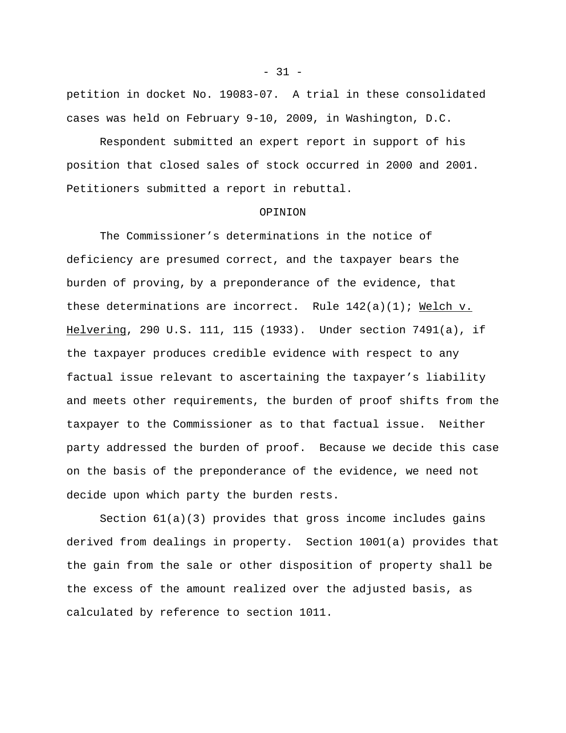petition in docket No. 19083-07. A trial in these consolidated cases was held on February 9-10, 2009, in Washington, D.C.

Respondent submitted an expert report in support of his position that closed sales of stock occurred in 2000 and 2001. Petitioners submitted a report in rebuttal.

### OPINION

The Commissioner's determinations in the notice of deficiency are presumed correct, and the taxpayer bears the burden of proving, by a preponderance of the evidence, that these determinations are incorrect. Rule  $142(a)(1)$ ; Welch v. Helvering, 290 U.S. 111, 115 (1933). Under section 7491(a), if the taxpayer produces credible evidence with respect to any factual issue relevant to ascertaining the taxpayer's liability and meets other requirements, the burden of proof shifts from the taxpayer to the Commissioner as to that factual issue. Neither party addressed the burden of proof. Because we decide this case on the basis of the preponderance of the evidence, we need not decide upon which party the burden rests.

Section 61(a)(3) provides that gross income includes gains derived from dealings in property. Section 1001(a) provides that the gain from the sale or other disposition of property shall be the excess of the amount realized over the adjusted basis, as calculated by reference to section 1011.

 $- 31 -$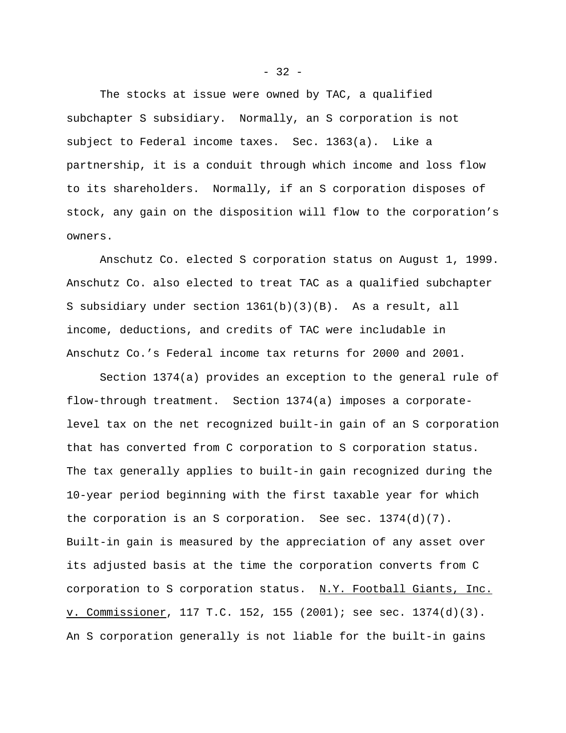The stocks at issue were owned by TAC, a qualified subchapter S subsidiary. Normally, an S corporation is not subject to Federal income taxes. Sec. 1363(a). Like a partnership, it is a conduit through which income and loss flow to its shareholders. Normally, if an S corporation disposes of stock, any gain on the disposition will flow to the corporation's owners.

Anschutz Co. elected S corporation status on August 1, 1999. Anschutz Co. also elected to treat TAC as a qualified subchapter S subsidiary under section 1361(b)(3)(B). As a result, all income, deductions, and credits of TAC were includable in Anschutz Co.'s Federal income tax returns for 2000 and 2001.

Section 1374(a) provides an exception to the general rule of flow-through treatment. Section 1374(a) imposes a corporatelevel tax on the net recognized built-in gain of an S corporation that has converted from C corporation to S corporation status. The tax generally applies to built-in gain recognized during the 10-year period beginning with the first taxable year for which the corporation is an S corporation. See sec.  $1374(d)(7)$ . Built-in gain is measured by the appreciation of any asset over its adjusted basis at the time the corporation converts from C corporation to S corporation status. N.Y. Football Giants, Inc. v. Commissioner, 117 T.C. 152, 155 (2001); see sec. 1374(d)(3). An S corporation generally is not liable for the built-in gains

 $-32 -$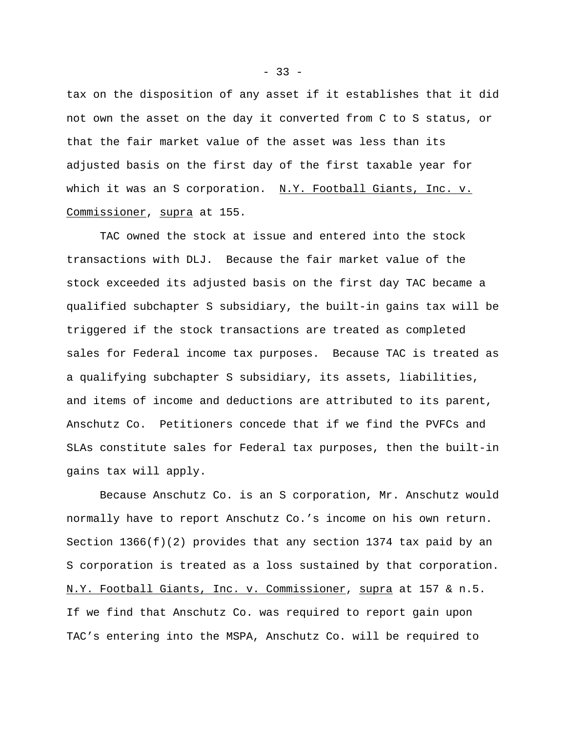tax on the disposition of any asset if it establishes that it did not own the asset on the day it converted from C to S status, or that the fair market value of the asset was less than its adjusted basis on the first day of the first taxable year for which it was an S corporation. N.Y. Football Giants, Inc. v. Commissioner, supra at 155.

TAC owned the stock at issue and entered into the stock transactions with DLJ. Because the fair market value of the stock exceeded its adjusted basis on the first day TAC became a qualified subchapter S subsidiary, the built-in gains tax will be triggered if the stock transactions are treated as completed sales for Federal income tax purposes. Because TAC is treated as a qualifying subchapter S subsidiary, its assets, liabilities, and items of income and deductions are attributed to its parent, Anschutz Co. Petitioners concede that if we find the PVFCs and SLAs constitute sales for Federal tax purposes, then the built-in gains tax will apply.

Because Anschutz Co. is an S corporation, Mr. Anschutz would normally have to report Anschutz Co.'s income on his own return. Section  $1366(f)(2)$  provides that any section 1374 tax paid by an S corporation is treated as a loss sustained by that corporation. N.Y. Football Giants, Inc. v. Commissioner, supra at 157 & n.5. If we find that Anschutz Co. was required to report gain upon TAC's entering into the MSPA, Anschutz Co. will be required to

 $-33 -$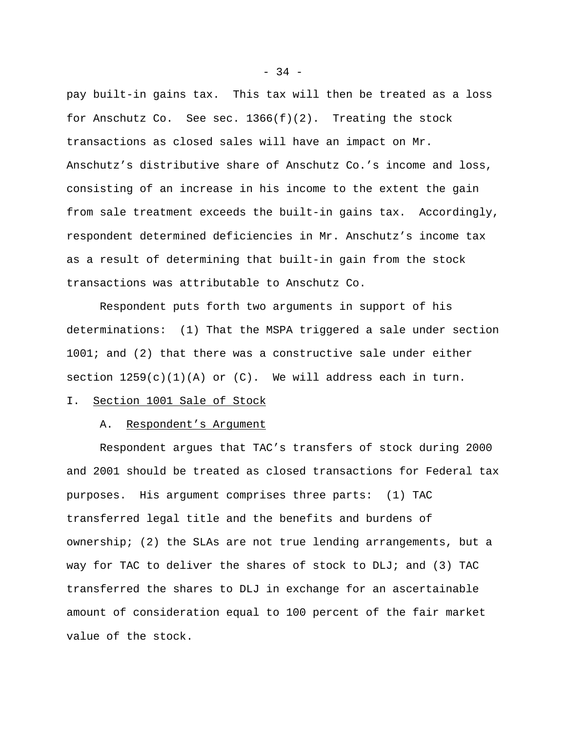pay built-in gains tax. This tax will then be treated as a loss for Anschutz Co. See sec.  $1366(f)(2)$ . Treating the stock transactions as closed sales will have an impact on Mr. Anschutz's distributive share of Anschutz Co.'s income and loss, consisting of an increase in his income to the extent the gain from sale treatment exceeds the built-in gains tax. Accordingly, respondent determined deficiencies in Mr. Anschutz's income tax as a result of determining that built-in gain from the stock transactions was attributable to Anschutz Co.

Respondent puts forth two arguments in support of his determinations: (1) That the MSPA triggered a sale under section 1001; and (2) that there was a constructive sale under either section  $1259(c)(1)(A)$  or  $(C)$ . We will address each in turn.

# I. Section 1001 Sale of Stock

## A. Respondent's Argument

Respondent argues that TAC's transfers of stock during 2000 and 2001 should be treated as closed transactions for Federal tax purposes. His argument comprises three parts: (1) TAC transferred legal title and the benefits and burdens of ownership; (2) the SLAs are not true lending arrangements, but a way for TAC to deliver the shares of stock to DLJ; and (3) TAC transferred the shares to DLJ in exchange for an ascertainable amount of consideration equal to 100 percent of the fair market value of the stock.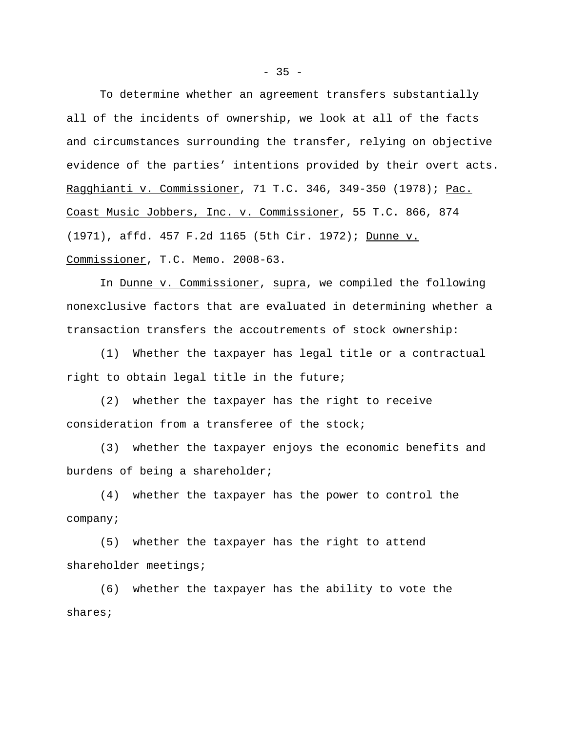To determine whether an agreement transfers substantially all of the incidents of ownership, we look at all of the facts and circumstances surrounding the transfer, relying on objective evidence of the parties' intentions provided by their overt acts. Ragghianti v. Commissioner, 71 T.C. 346, 349-350 (1978); Pac. Coast Music Jobbers, Inc. v. Commissioner, 55 T.C. 866, 874 (1971), affd. 457 F.2d 1165 (5th Cir. 1972); Dunne v. Commissioner, T.C. Memo. 2008-63.

In Dunne v. Commissioner, supra, we compiled the following nonexclusive factors that are evaluated in determining whether a transaction transfers the accoutrements of stock ownership:

(1) Whether the taxpayer has legal title or a contractual right to obtain legal title in the future;

(2) whether the taxpayer has the right to receive consideration from a transferee of the stock;

(3) whether the taxpayer enjoys the economic benefits and burdens of being a shareholder;

(4) whether the taxpayer has the power to control the company;

(5) whether the taxpayer has the right to attend shareholder meetings;

(6) whether the taxpayer has the ability to vote the shares;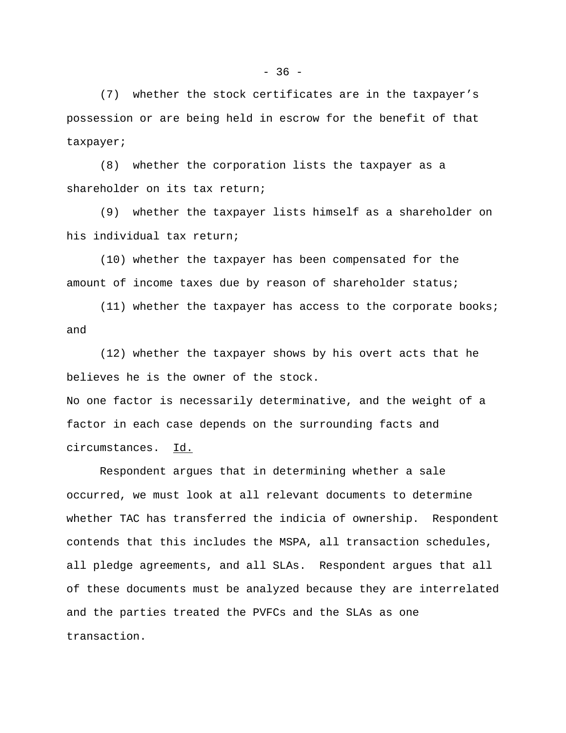(7) whether the stock certificates are in the taxpayer's possession or are being held in escrow for the benefit of that taxpayer;

(8) whether the corporation lists the taxpayer as a shareholder on its tax return;

(9) whether the taxpayer lists himself as a shareholder on his individual tax return;

(10) whether the taxpayer has been compensated for the amount of income taxes due by reason of shareholder status;

(11) whether the taxpayer has access to the corporate books; and

(12) whether the taxpayer shows by his overt acts that he believes he is the owner of the stock.

No one factor is necessarily determinative, and the weight of a factor in each case depends on the surrounding facts and circumstances. Id.

Respondent argues that in determining whether a sale occurred, we must look at all relevant documents to determine whether TAC has transferred the indicia of ownership. Respondent contends that this includes the MSPA, all transaction schedules, all pledge agreements, and all SLAs. Respondent argues that all of these documents must be analyzed because they are interrelated and the parties treated the PVFCs and the SLAs as one transaction.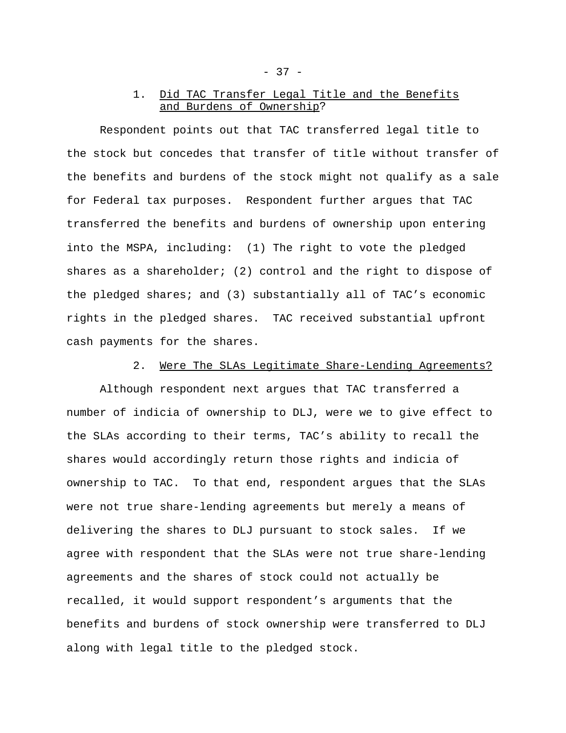# 1. Did TAC Transfer Legal Title and the Benefits and Burdens of Ownership?

Respondent points out that TAC transferred legal title to the stock but concedes that transfer of title without transfer of the benefits and burdens of the stock might not qualify as a sale for Federal tax purposes. Respondent further argues that TAC transferred the benefits and burdens of ownership upon entering into the MSPA, including: (1) The right to vote the pledged shares as a shareholder; (2) control and the right to dispose of the pledged shares; and (3) substantially all of TAC's economic rights in the pledged shares. TAC received substantial upfront cash payments for the shares.

2. Were The SLAs Legitimate Share-Lending Agreements?

Although respondent next argues that TAC transferred a number of indicia of ownership to DLJ, were we to give effect to the SLAs according to their terms, TAC's ability to recall the shares would accordingly return those rights and indicia of ownership to TAC. To that end, respondent argues that the SLAs were not true share-lending agreements but merely a means of delivering the shares to DLJ pursuant to stock sales. If we agree with respondent that the SLAs were not true share-lending agreements and the shares of stock could not actually be recalled, it would support respondent's arguments that the benefits and burdens of stock ownership were transferred to DLJ along with legal title to the pledged stock.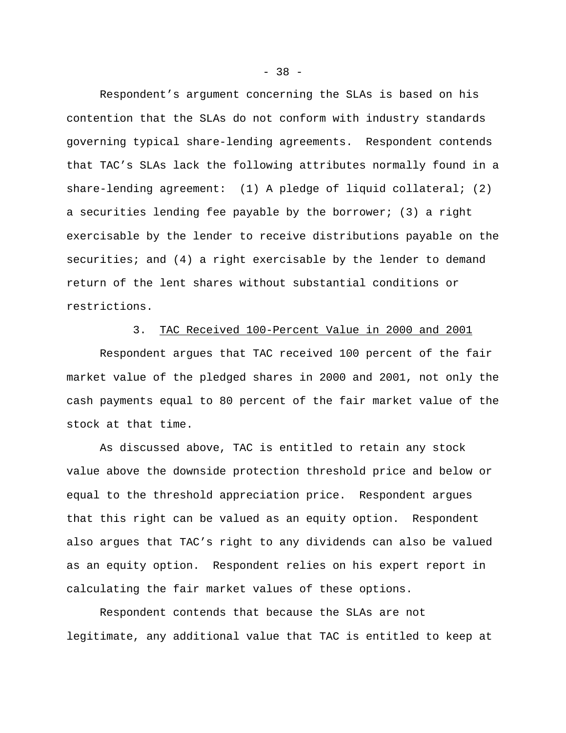Respondent's argument concerning the SLAs is based on his contention that the SLAs do not conform with industry standards governing typical share-lending agreements. Respondent contends that TAC's SLAs lack the following attributes normally found in a share-lending agreement: (1) A pledge of liquid collateral; (2) a securities lending fee payable by the borrower; (3) a right exercisable by the lender to receive distributions payable on the securities; and (4) a right exercisable by the lender to demand return of the lent shares without substantial conditions or restrictions.

# 3. TAC Received 100-Percent Value in 2000 and 2001

Respondent argues that TAC received 100 percent of the fair market value of the pledged shares in 2000 and 2001, not only the cash payments equal to 80 percent of the fair market value of the stock at that time.

As discussed above, TAC is entitled to retain any stock value above the downside protection threshold price and below or equal to the threshold appreciation price. Respondent argues that this right can be valued as an equity option. Respondent also argues that TAC's right to any dividends can also be valued as an equity option. Respondent relies on his expert report in calculating the fair market values of these options.

Respondent contends that because the SLAs are not legitimate, any additional value that TAC is entitled to keep at

- 38 -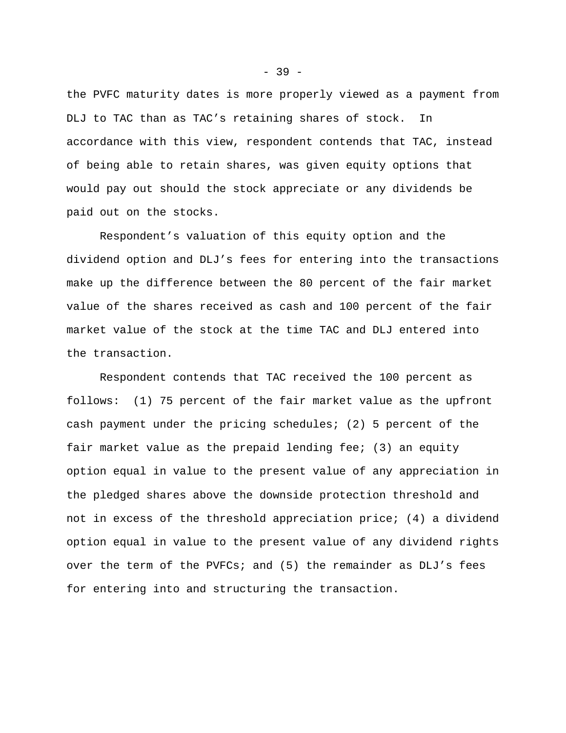the PVFC maturity dates is more properly viewed as a payment from DLJ to TAC than as TAC's retaining shares of stock. In accordance with this view, respondent contends that TAC, instead of being able to retain shares, was given equity options that would pay out should the stock appreciate or any dividends be paid out on the stocks.

Respondent's valuation of this equity option and the dividend option and DLJ's fees for entering into the transactions make up the difference between the 80 percent of the fair market value of the shares received as cash and 100 percent of the fair market value of the stock at the time TAC and DLJ entered into the transaction.

Respondent contends that TAC received the 100 percent as follows: (1) 75 percent of the fair market value as the upfront cash payment under the pricing schedules; (2) 5 percent of the fair market value as the prepaid lending fee; (3) an equity option equal in value to the present value of any appreciation in the pledged shares above the downside protection threshold and not in excess of the threshold appreciation price; (4) a dividend option equal in value to the present value of any dividend rights over the term of the PVFCs; and (5) the remainder as DLJ's fees for entering into and structuring the transaction.

 $-39 -$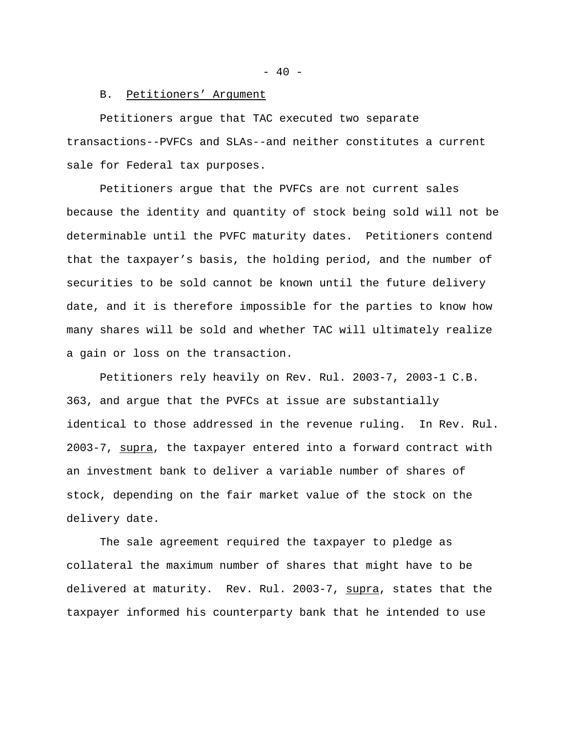$- 40 -$ 

## B. Petitioners' Argument

Petitioners argue that TAC executed two separate transactions--PVFCs and SLAs--and neither constitutes a current sale for Federal tax purposes.

Petitioners argue that the PVFCs are not current sales because the identity and quantity of stock being sold will not be determinable until the PVFC maturity dates. Petitioners contend that the taxpayer's basis, the holding period, and the number of securities to be sold cannot be known until the future delivery date, and it is therefore impossible for the parties to know how many shares will be sold and whether TAC will ultimately realize a gain or loss on the transaction.

Petitioners rely heavily on Rev. Rul. 2003-7, 2003-1 C.B. 363, and argue that the PVFCs at issue are substantially identical to those addressed in the revenue ruling. In Rev. Rul. 2003-7, supra, the taxpayer entered into a forward contract with an investment bank to deliver a variable number of shares of stock, depending on the fair market value of the stock on the delivery date.

The sale agreement required the taxpayer to pledge as collateral the maximum number of shares that might have to be delivered at maturity. Rev. Rul. 2003-7, supra, states that the taxpayer informed his counterparty bank that he intended to use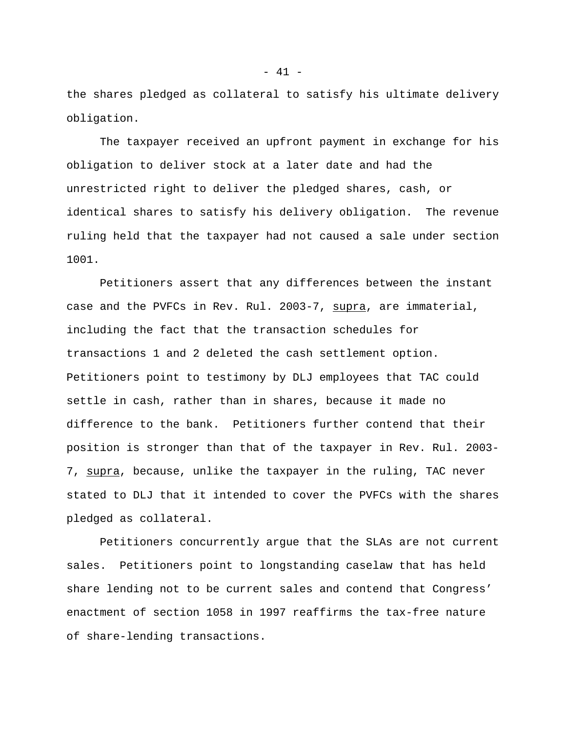the shares pledged as collateral to satisfy his ultimate delivery obligation.

The taxpayer received an upfront payment in exchange for his obligation to deliver stock at a later date and had the unrestricted right to deliver the pledged shares, cash, or identical shares to satisfy his delivery obligation. The revenue ruling held that the taxpayer had not caused a sale under section 1001.

Petitioners assert that any differences between the instant case and the PVFCs in Rev. Rul. 2003-7, supra, are immaterial, including the fact that the transaction schedules for transactions 1 and 2 deleted the cash settlement option. Petitioners point to testimony by DLJ employees that TAC could settle in cash, rather than in shares, because it made no difference to the bank. Petitioners further contend that their position is stronger than that of the taxpayer in Rev. Rul. 2003- 7, supra, because, unlike the taxpayer in the ruling, TAC never stated to DLJ that it intended to cover the PVFCs with the shares pledged as collateral.

Petitioners concurrently argue that the SLAs are not current sales. Petitioners point to longstanding caselaw that has held share lending not to be current sales and contend that Congress' enactment of section 1058 in 1997 reaffirms the tax-free nature of share-lending transactions.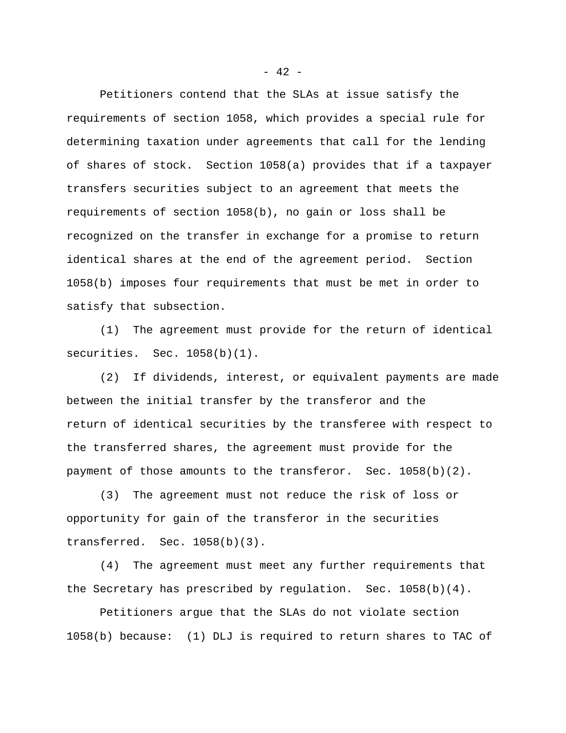Petitioners contend that the SLAs at issue satisfy the requirements of section 1058, which provides a special rule for determining taxation under agreements that call for the lending of shares of stock. Section 1058(a) provides that if a taxpayer transfers securities subject to an agreement that meets the requirements of section 1058(b), no gain or loss shall be recognized on the transfer in exchange for a promise to return identical shares at the end of the agreement period. Section 1058(b) imposes four requirements that must be met in order to satisfy that subsection.

(1) The agreement must provide for the return of identical securities. Sec. 1058(b)(1).

(2) If dividends, interest, or equivalent payments are made between the initial transfer by the transferor and the return of identical securities by the transferee with respect to the transferred shares, the agreement must provide for the payment of those amounts to the transferor. Sec. 1058(b)(2).

(3) The agreement must not reduce the risk of loss or opportunity for gain of the transferor in the securities transferred. Sec. 1058(b)(3).

(4) The agreement must meet any further requirements that the Secretary has prescribed by regulation. Sec. 1058(b)(4).

Petitioners argue that the SLAs do not violate section 1058(b) because: (1) DLJ is required to return shares to TAC of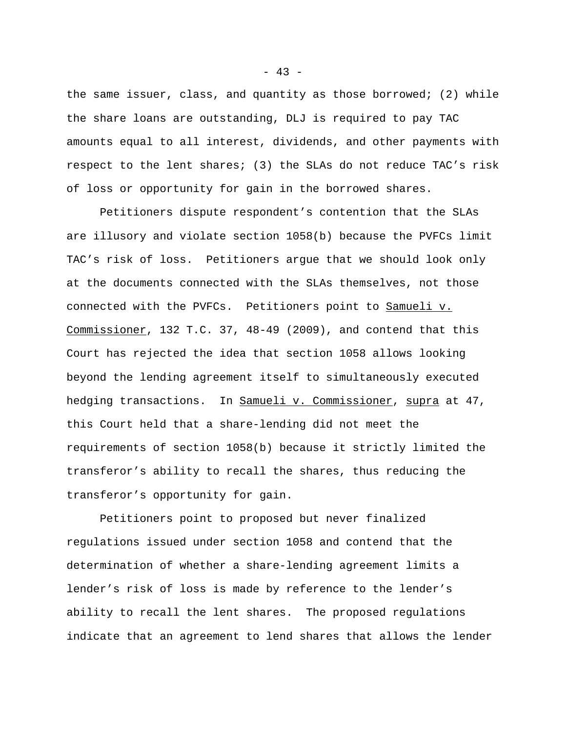the same issuer, class, and quantity as those borrowed; (2) while the share loans are outstanding, DLJ is required to pay TAC amounts equal to all interest, dividends, and other payments with respect to the lent shares; (3) the SLAs do not reduce TAC's risk of loss or opportunity for gain in the borrowed shares.

Petitioners dispute respondent's contention that the SLAs are illusory and violate section 1058(b) because the PVFCs limit TAC's risk of loss. Petitioners argue that we should look only at the documents connected with the SLAs themselves, not those connected with the PVFCs. Petitioners point to Samueli v. Commissioner, 132 T.C. 37, 48-49 (2009), and contend that this Court has rejected the idea that section 1058 allows looking beyond the lending agreement itself to simultaneously executed hedging transactions. In Samueli v. Commissioner, supra at 47, this Court held that a share-lending did not meet the requirements of section 1058(b) because it strictly limited the transferor's ability to recall the shares, thus reducing the transferor's opportunity for gain.

Petitioners point to proposed but never finalized regulations issued under section 1058 and contend that the determination of whether a share-lending agreement limits a lender's risk of loss is made by reference to the lender's ability to recall the lent shares. The proposed regulations indicate that an agreement to lend shares that allows the lender

 $- 43 -$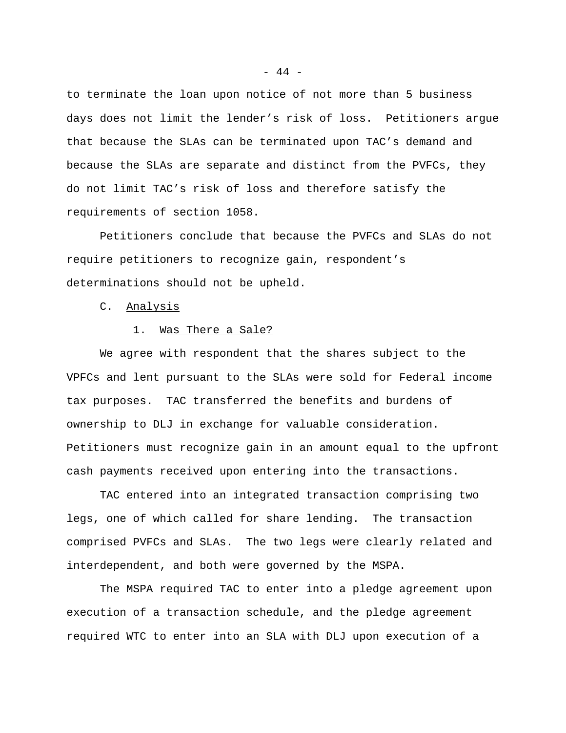to terminate the loan upon notice of not more than 5 business days does not limit the lender's risk of loss. Petitioners argue that because the SLAs can be terminated upon TAC's demand and because the SLAs are separate and distinct from the PVFCs, they do not limit TAC's risk of loss and therefore satisfy the requirements of section 1058.

Petitioners conclude that because the PVFCs and SLAs do not require petitioners to recognize gain, respondent's determinations should not be upheld.

C. Analysis

# 1. Was There a Sale?

We agree with respondent that the shares subject to the VPFCs and lent pursuant to the SLAs were sold for Federal income tax purposes. TAC transferred the benefits and burdens of ownership to DLJ in exchange for valuable consideration. Petitioners must recognize gain in an amount equal to the upfront cash payments received upon entering into the transactions.

TAC entered into an integrated transaction comprising two legs, one of which called for share lending. The transaction comprised PVFCs and SLAs. The two legs were clearly related and interdependent, and both were governed by the MSPA.

The MSPA required TAC to enter into a pledge agreement upon execution of a transaction schedule, and the pledge agreement required WTC to enter into an SLA with DLJ upon execution of a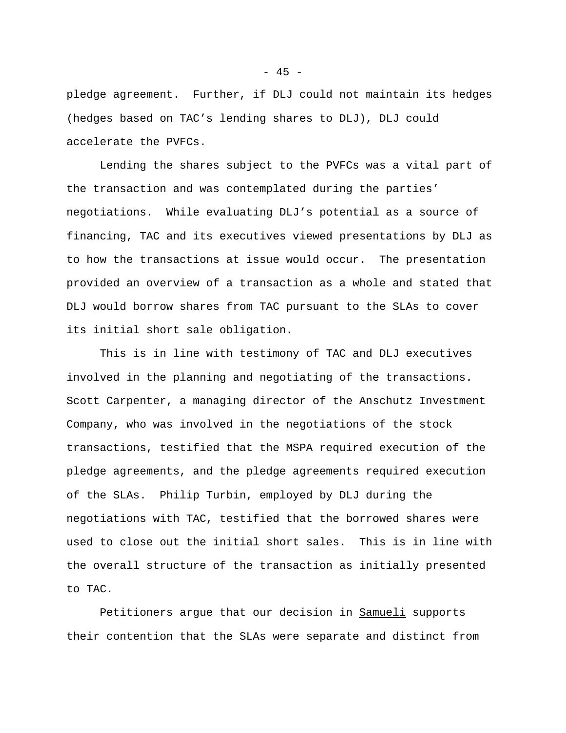pledge agreement. Further, if DLJ could not maintain its hedges (hedges based on TAC's lending shares to DLJ), DLJ could accelerate the PVFCs.

Lending the shares subject to the PVFCs was a vital part of the transaction and was contemplated during the parties' negotiations. While evaluating DLJ's potential as a source of financing, TAC and its executives viewed presentations by DLJ as to how the transactions at issue would occur. The presentation provided an overview of a transaction as a whole and stated that DLJ would borrow shares from TAC pursuant to the SLAs to cover its initial short sale obligation.

This is in line with testimony of TAC and DLJ executives involved in the planning and negotiating of the transactions. Scott Carpenter, a managing director of the Anschutz Investment Company, who was involved in the negotiations of the stock transactions, testified that the MSPA required execution of the pledge agreements, and the pledge agreements required execution of the SLAs. Philip Turbin, employed by DLJ during the negotiations with TAC, testified that the borrowed shares were used to close out the initial short sales. This is in line with the overall structure of the transaction as initially presented to TAC.

Petitioners argue that our decision in Samueli supports their contention that the SLAs were separate and distinct from

 $- 45 -$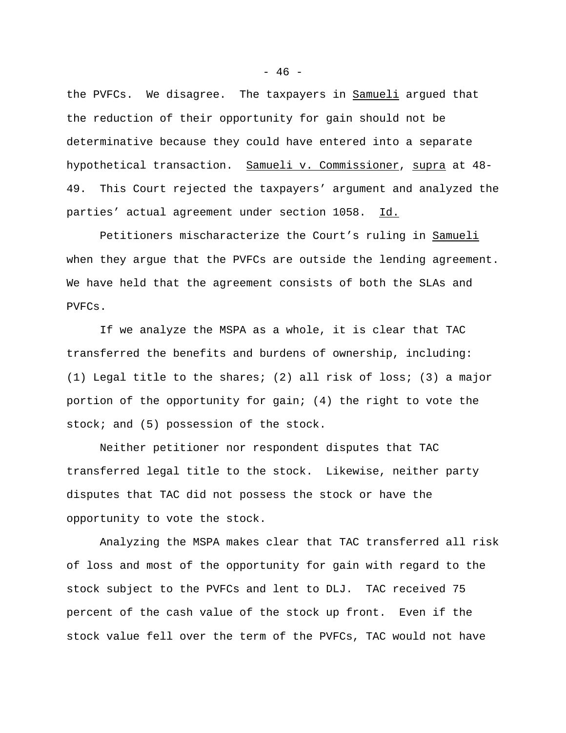the PVFCs. We disagree. The taxpayers in Samueli argued that the reduction of their opportunity for gain should not be determinative because they could have entered into a separate hypothetical transaction. Samueli v. Commissioner, supra at 48- 49. This Court rejected the taxpayers' argument and analyzed the parties' actual agreement under section 1058. Id.

Petitioners mischaracterize the Court's ruling in Samueli when they argue that the PVFCs are outside the lending agreement. We have held that the agreement consists of both the SLAs and PVFCs.

If we analyze the MSPA as a whole, it is clear that TAC transferred the benefits and burdens of ownership, including: (1) Legal title to the shares; (2) all risk of loss; (3) a major portion of the opportunity for gain; (4) the right to vote the stock; and (5) possession of the stock.

Neither petitioner nor respondent disputes that TAC transferred legal title to the stock. Likewise, neither party disputes that TAC did not possess the stock or have the opportunity to vote the stock.

Analyzing the MSPA makes clear that TAC transferred all risk of loss and most of the opportunity for gain with regard to the stock subject to the PVFCs and lent to DLJ. TAC received 75 percent of the cash value of the stock up front. Even if the stock value fell over the term of the PVFCs, TAC would not have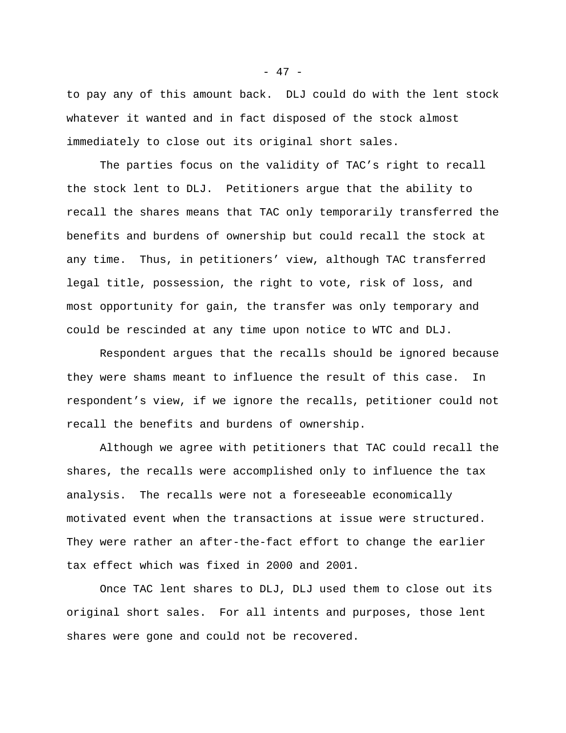to pay any of this amount back. DLJ could do with the lent stock whatever it wanted and in fact disposed of the stock almost immediately to close out its original short sales.

The parties focus on the validity of TAC's right to recall the stock lent to DLJ. Petitioners argue that the ability to recall the shares means that TAC only temporarily transferred the benefits and burdens of ownership but could recall the stock at any time. Thus, in petitioners' view, although TAC transferred legal title, possession, the right to vote, risk of loss, and most opportunity for gain, the transfer was only temporary and could be rescinded at any time upon notice to WTC and DLJ.

Respondent argues that the recalls should be ignored because they were shams meant to influence the result of this case. In respondent's view, if we ignore the recalls, petitioner could not recall the benefits and burdens of ownership.

Although we agree with petitioners that TAC could recall the shares, the recalls were accomplished only to influence the tax analysis. The recalls were not a foreseeable economically motivated event when the transactions at issue were structured. They were rather an after-the-fact effort to change the earlier tax effect which was fixed in 2000 and 2001.

Once TAC lent shares to DLJ, DLJ used them to close out its original short sales. For all intents and purposes, those lent shares were gone and could not be recovered.

- 47 -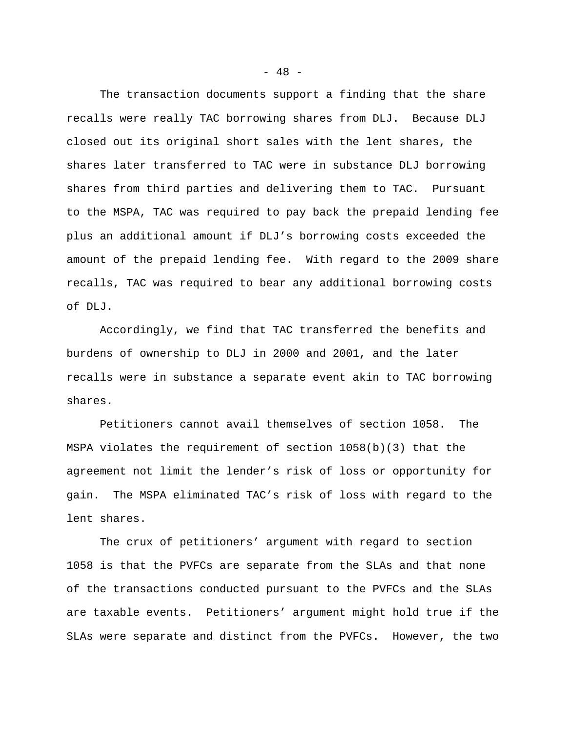The transaction documents support a finding that the share recalls were really TAC borrowing shares from DLJ. Because DLJ closed out its original short sales with the lent shares, the shares later transferred to TAC were in substance DLJ borrowing shares from third parties and delivering them to TAC. Pursuant to the MSPA, TAC was required to pay back the prepaid lending fee plus an additional amount if DLJ's borrowing costs exceeded the amount of the prepaid lending fee. With regard to the 2009 share recalls, TAC was required to bear any additional borrowing costs of DLJ.

Accordingly, we find that TAC transferred the benefits and burdens of ownership to DLJ in 2000 and 2001, and the later recalls were in substance a separate event akin to TAC borrowing shares.

Petitioners cannot avail themselves of section 1058. The MSPA violates the requirement of section 1058(b)(3) that the agreement not limit the lender's risk of loss or opportunity for gain. The MSPA eliminated TAC's risk of loss with regard to the lent shares.

The crux of petitioners' argument with regard to section 1058 is that the PVFCs are separate from the SLAs and that none of the transactions conducted pursuant to the PVFCs and the SLAs are taxable events. Petitioners' argument might hold true if the SLAs were separate and distinct from the PVFCs. However, the two

 $- 48 -$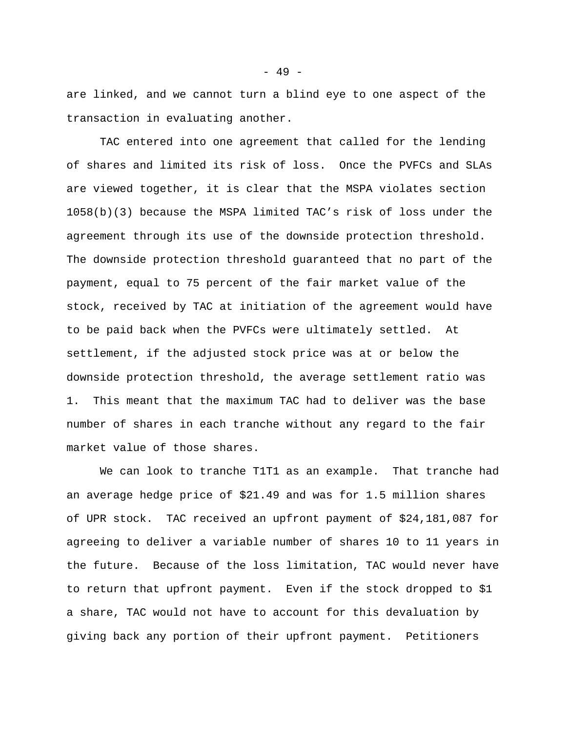are linked, and we cannot turn a blind eye to one aspect of the transaction in evaluating another.

TAC entered into one agreement that called for the lending of shares and limited its risk of loss. Once the PVFCs and SLAs are viewed together, it is clear that the MSPA violates section 1058(b)(3) because the MSPA limited TAC's risk of loss under the agreement through its use of the downside protection threshold. The downside protection threshold guaranteed that no part of the payment, equal to 75 percent of the fair market value of the stock, received by TAC at initiation of the agreement would have to be paid back when the PVFCs were ultimately settled. At settlement, if the adjusted stock price was at or below the downside protection threshold, the average settlement ratio was 1. This meant that the maximum TAC had to deliver was the base number of shares in each tranche without any regard to the fair market value of those shares.

We can look to tranche T1T1 as an example. That tranche had an average hedge price of \$21.49 and was for 1.5 million shares of UPR stock. TAC received an upfront payment of \$24,181,087 for agreeing to deliver a variable number of shares 10 to 11 years in the future. Because of the loss limitation, TAC would never have to return that upfront payment. Even if the stock dropped to \$1 a share, TAC would not have to account for this devaluation by giving back any portion of their upfront payment. Petitioners

- 49 -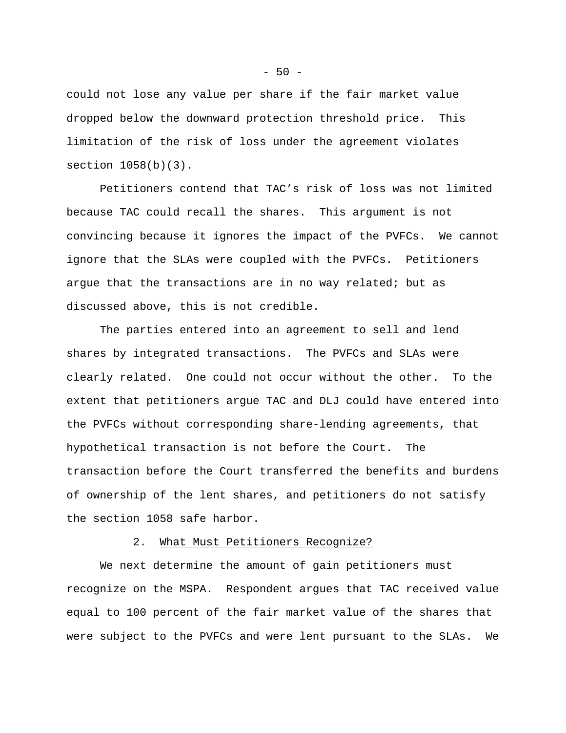could not lose any value per share if the fair market value dropped below the downward protection threshold price. This limitation of the risk of loss under the agreement violates section 1058(b)(3).

Petitioners contend that TAC's risk of loss was not limited because TAC could recall the shares. This argument is not convincing because it ignores the impact of the PVFCs. We cannot ignore that the SLAs were coupled with the PVFCs. Petitioners argue that the transactions are in no way related; but as discussed above, this is not credible.

The parties entered into an agreement to sell and lend shares by integrated transactions. The PVFCs and SLAs were clearly related. One could not occur without the other. To the extent that petitioners argue TAC and DLJ could have entered into the PVFCs without corresponding share-lending agreements, that hypothetical transaction is not before the Court. The transaction before the Court transferred the benefits and burdens of ownership of the lent shares, and petitioners do not satisfy the section 1058 safe harbor.

## 2. What Must Petitioners Recognize?

We next determine the amount of gain petitioners must recognize on the MSPA. Respondent argues that TAC received value equal to 100 percent of the fair market value of the shares that were subject to the PVFCs and were lent pursuant to the SLAs. We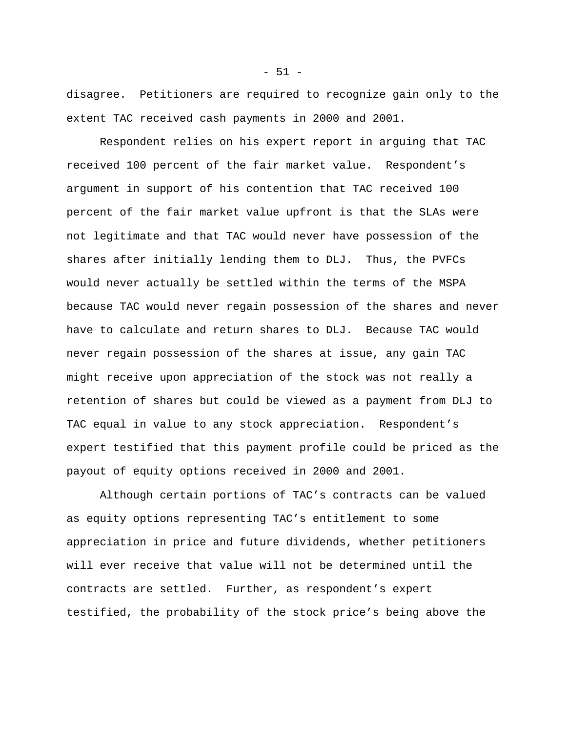disagree. Petitioners are required to recognize gain only to the extent TAC received cash payments in 2000 and 2001.

Respondent relies on his expert report in arguing that TAC received 100 percent of the fair market value. Respondent's argument in support of his contention that TAC received 100 percent of the fair market value upfront is that the SLAs were not legitimate and that TAC would never have possession of the shares after initially lending them to DLJ. Thus, the PVFCs would never actually be settled within the terms of the MSPA because TAC would never regain possession of the shares and never have to calculate and return shares to DLJ. Because TAC would never regain possession of the shares at issue, any gain TAC might receive upon appreciation of the stock was not really a retention of shares but could be viewed as a payment from DLJ to TAC equal in value to any stock appreciation. Respondent's expert testified that this payment profile could be priced as the payout of equity options received in 2000 and 2001.

Although certain portions of TAC's contracts can be valued as equity options representing TAC's entitlement to some appreciation in price and future dividends, whether petitioners will ever receive that value will not be determined until the contracts are settled. Further, as respondent's expert testified, the probability of the stock price's being above the

 $- 51 -$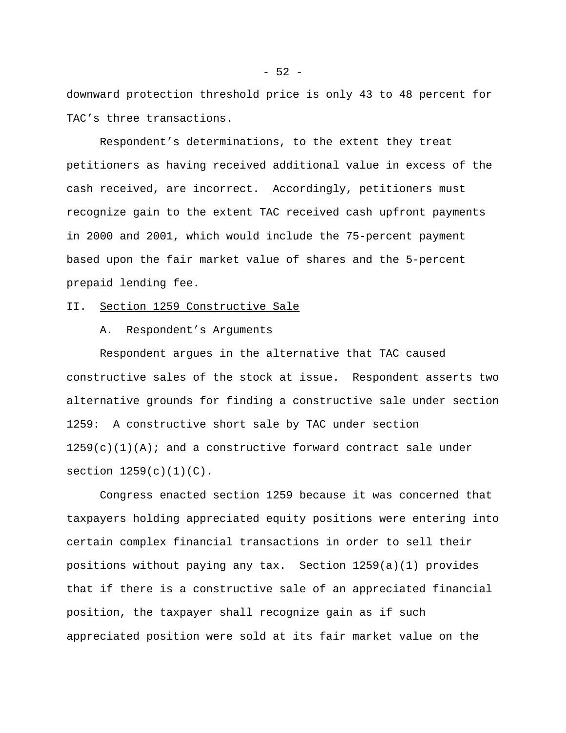downward protection threshold price is only 43 to 48 percent for TAC's three transactions.

Respondent's determinations, to the extent they treat petitioners as having received additional value in excess of the cash received, are incorrect. Accordingly, petitioners must recognize gain to the extent TAC received cash upfront payments in 2000 and 2001, which would include the 75-percent payment based upon the fair market value of shares and the 5-percent prepaid lending fee.

# II. Section 1259 Constructive Sale

# A. Respondent's Arguments

Respondent argues in the alternative that TAC caused constructive sales of the stock at issue. Respondent asserts two alternative grounds for finding a constructive sale under section 1259: A constructive short sale by TAC under section  $1259(c)(1)(A)$ ; and a constructive forward contract sale under section  $1259(c)(1)(C)$ .

Congress enacted section 1259 because it was concerned that taxpayers holding appreciated equity positions were entering into certain complex financial transactions in order to sell their positions without paying any tax. Section 1259(a)(1) provides that if there is a constructive sale of an appreciated financial position, the taxpayer shall recognize gain as if such appreciated position were sold at its fair market value on the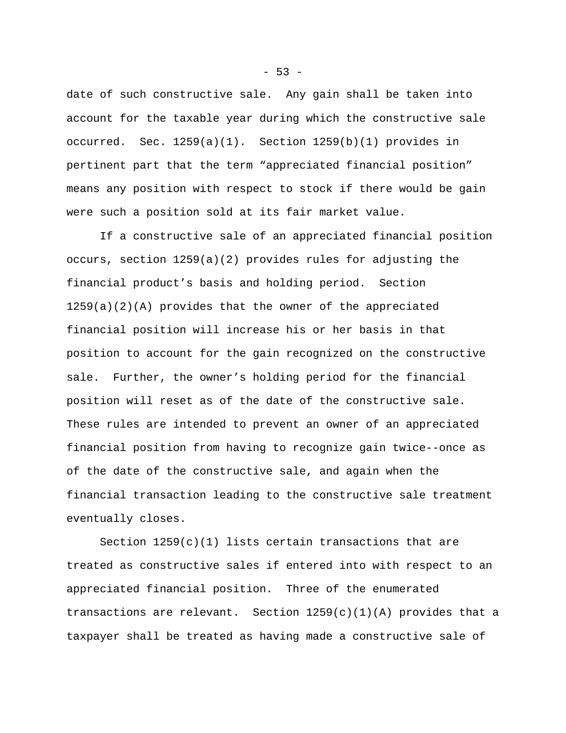date of such constructive sale. Any gain shall be taken into account for the taxable year during which the constructive sale occurred. Sec.  $1259(a)(1)$ . Section  $1259(b)(1)$  provides in pertinent part that the term "appreciated financial position" means any position with respect to stock if there would be gain were such a position sold at its fair market value.

If a constructive sale of an appreciated financial position occurs, section 1259(a)(2) provides rules for adjusting the financial product's basis and holding period. Section  $1259(a)(2)(A)$  provides that the owner of the appreciated financial position will increase his or her basis in that position to account for the gain recognized on the constructive sale. Further, the owner's holding period for the financial position will reset as of the date of the constructive sale. These rules are intended to prevent an owner of an appreciated financial position from having to recognize gain twice--once as of the date of the constructive sale, and again when the financial transaction leading to the constructive sale treatment eventually closes.

Section  $1259(c)(1)$  lists certain transactions that are treated as constructive sales if entered into with respect to an appreciated financial position. Three of the enumerated transactions are relevant. Section  $1259(c)(1)(A)$  provides that a taxpayer shall be treated as having made a constructive sale of

 $-53 -$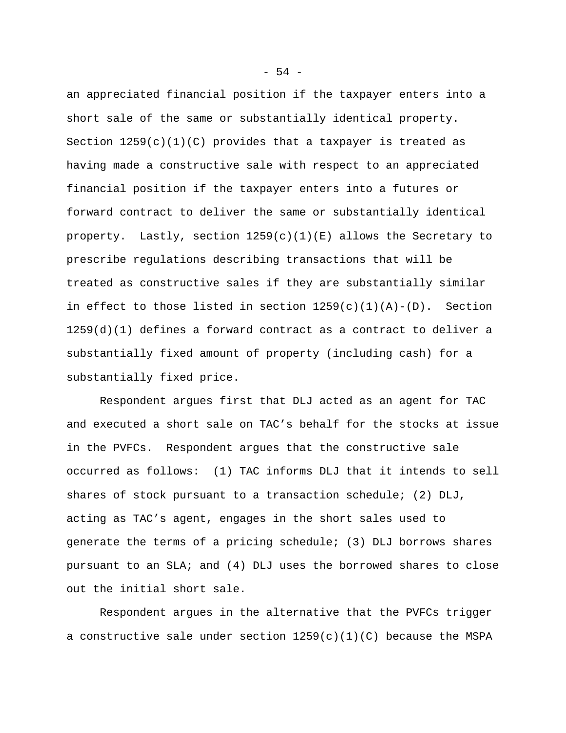an appreciated financial position if the taxpayer enters into a short sale of the same or substantially identical property. Section  $1259(c)(1)(C)$  provides that a taxpayer is treated as having made a constructive sale with respect to an appreciated financial position if the taxpayer enters into a futures or forward contract to deliver the same or substantially identical property. Lastly, section  $1259(c)(1)(E)$  allows the Secretary to prescribe regulations describing transactions that will be treated as constructive sales if they are substantially similar in effect to those listed in section  $1259(c)(1)(A)-(D)$ . Section  $1259(d)(1)$  defines a forward contract as a contract to deliver a substantially fixed amount of property (including cash) for a substantially fixed price.

Respondent argues first that DLJ acted as an agent for TAC and executed a short sale on TAC's behalf for the stocks at issue in the PVFCs. Respondent argues that the constructive sale occurred as follows: (1) TAC informs DLJ that it intends to sell shares of stock pursuant to a transaction schedule; (2)  $D L J$ , acting as TAC's agent, engages in the short sales used to generate the terms of a pricing schedule; (3) DLJ borrows shares pursuant to an SLA; and (4) DLJ uses the borrowed shares to close out the initial short sale.

Respondent argues in the alternative that the PVFCs trigger a constructive sale under section  $1259(c)(1)(C)$  because the MSPA

 $-54 -$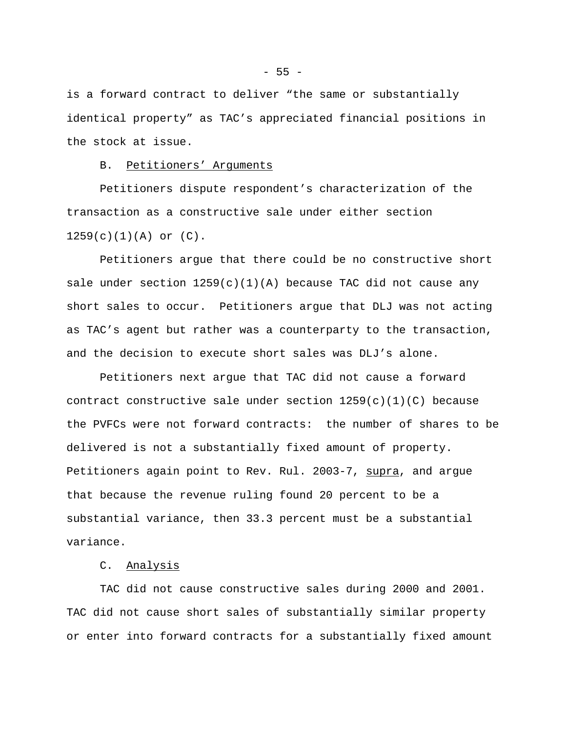is a forward contract to deliver "the same or substantially identical property" as TAC's appreciated financial positions in the stock at issue.

## B. Petitioners' Arguments

Petitioners dispute respondent's characterization of the transaction as a constructive sale under either section  $1259(c)(1)(A)$  or  $(C)$ .

Petitioners argue that there could be no constructive short sale under section  $1259(c)(1)(A)$  because TAC did not cause any short sales to occur. Petitioners argue that DLJ was not acting as TAC's agent but rather was a counterparty to the transaction, and the decision to execute short sales was DLJ's alone.

Petitioners next argue that TAC did not cause a forward contract constructive sale under section  $1259(c)(1)(C)$  because the PVFCs were not forward contracts: the number of shares to be delivered is not a substantially fixed amount of property. Petitioners again point to Rev. Rul. 2003-7, supra, and argue that because the revenue ruling found 20 percent to be a substantial variance, then 33.3 percent must be a substantial variance.

# C. Analysis

TAC did not cause constructive sales during 2000 and 2001. TAC did not cause short sales of substantially similar property or enter into forward contracts for a substantially fixed amount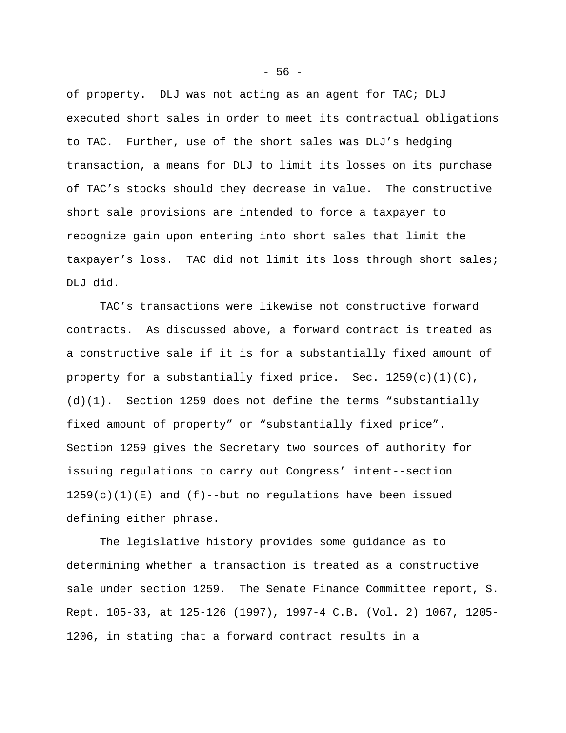of property. DLJ was not acting as an agent for TAC; DLJ executed short sales in order to meet its contractual obligations to TAC. Further, use of the short sales was DLJ's hedging transaction, a means for DLJ to limit its losses on its purchase of TAC's stocks should they decrease in value. The constructive short sale provisions are intended to force a taxpayer to recognize gain upon entering into short sales that limit the taxpayer's loss. TAC did not limit its loss through short sales; DLJ did.

TAC's transactions were likewise not constructive forward contracts. As discussed above, a forward contract is treated as a constructive sale if it is for a substantially fixed amount of property for a substantially fixed price. Sec.  $1259(c)(1)(C)$ , (d)(1). Section 1259 does not define the terms "substantially fixed amount of property" or "substantially fixed price". Section 1259 gives the Secretary two sources of authority for issuing regulations to carry out Congress' intent--section  $1259(c)(1)(E)$  and  $(f)$ --but no regulations have been issued defining either phrase.

The legislative history provides some guidance as to determining whether a transaction is treated as a constructive sale under section 1259. The Senate Finance Committee report, S. Rept. 105-33, at 125-126 (1997), 1997-4 C.B. (Vol. 2) 1067, 1205- 1206, in stating that a forward contract results in a

- 56 -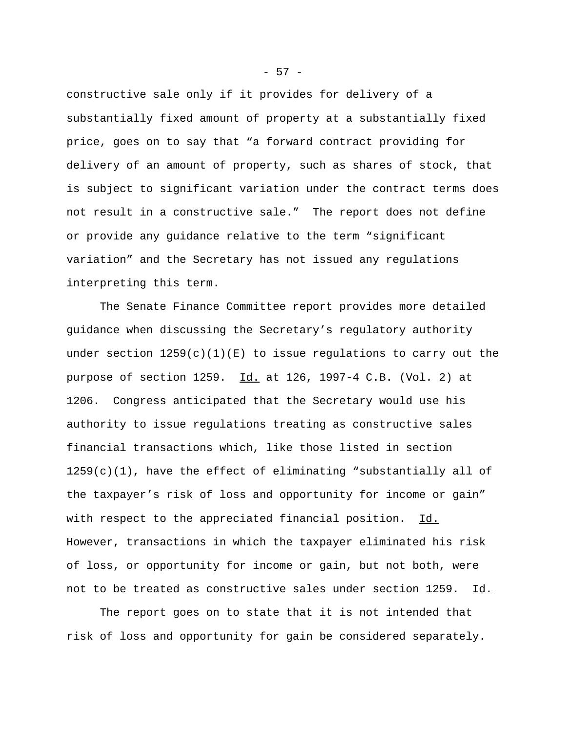constructive sale only if it provides for delivery of a substantially fixed amount of property at a substantially fixed price, goes on to say that "a forward contract providing for delivery of an amount of property, such as shares of stock, that is subject to significant variation under the contract terms does not result in a constructive sale." The report does not define or provide any guidance relative to the term "significant variation" and the Secretary has not issued any regulations interpreting this term.

The Senate Finance Committee report provides more detailed guidance when discussing the Secretary's regulatory authority under section  $1259(c)(1)(E)$  to issue regulations to carry out the purpose of section 1259. Id. at 126, 1997-4 C.B. (Vol. 2) at 1206. Congress anticipated that the Secretary would use his authority to issue regulations treating as constructive sales financial transactions which, like those listed in section 1259(c)(1), have the effect of eliminating "substantially all of the taxpayer's risk of loss and opportunity for income or gain" with respect to the appreciated financial position. Id. However, transactions in which the taxpayer eliminated his risk of loss, or opportunity for income or gain, but not both, were not to be treated as constructive sales under section 1259. Id.

The report goes on to state that it is not intended that risk of loss and opportunity for gain be considered separately.

- 57 -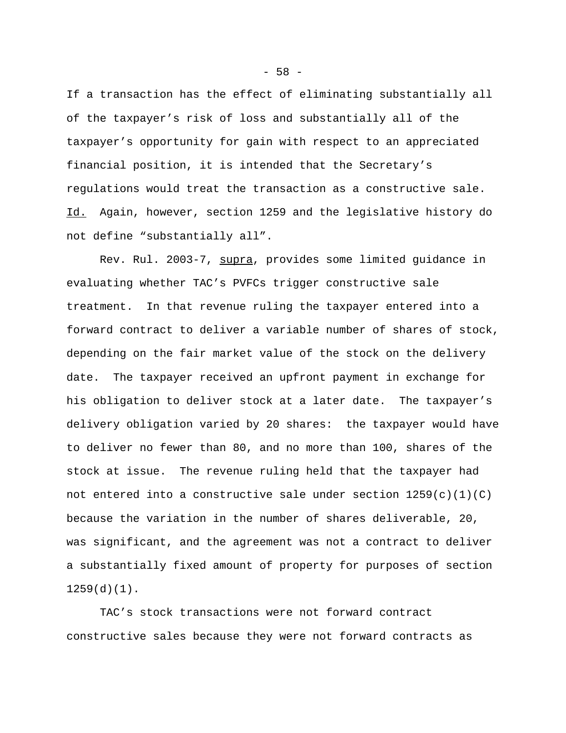If a transaction has the effect of eliminating substantially all of the taxpayer's risk of loss and substantially all of the taxpayer's opportunity for gain with respect to an appreciated financial position, it is intended that the Secretary's regulations would treat the transaction as a constructive sale. Id. Again, however, section 1259 and the legislative history do not define "substantially all".

Rev. Rul. 2003-7, supra, provides some limited guidance in evaluating whether TAC's PVFCs trigger constructive sale treatment. In that revenue ruling the taxpayer entered into a forward contract to deliver a variable number of shares of stock, depending on the fair market value of the stock on the delivery date. The taxpayer received an upfront payment in exchange for his obligation to deliver stock at a later date. The taxpayer's delivery obligation varied by 20 shares: the taxpayer would have to deliver no fewer than 80, and no more than 100, shares of the stock at issue. The revenue ruling held that the taxpayer had not entered into a constructive sale under section  $1259(c)(1)(C)$ because the variation in the number of shares deliverable, 20, was significant, and the agreement was not a contract to deliver a substantially fixed amount of property for purposes of section 1259(d)(1).

TAC's stock transactions were not forward contract constructive sales because they were not forward contracts as

 $-58 -$